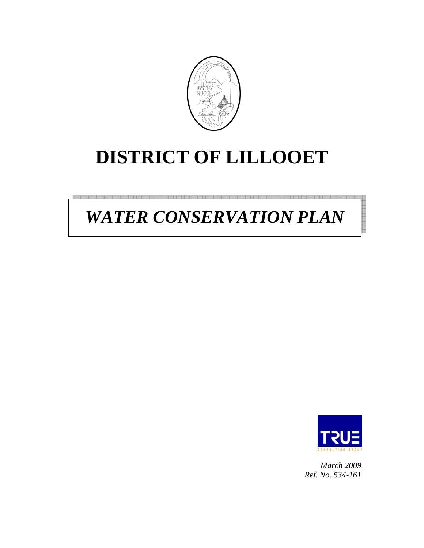

# **DISTRICT OF LILLOOET**

# *WATER CONSERVATION PLAN*



*March 2009 Ref. No. 534-161*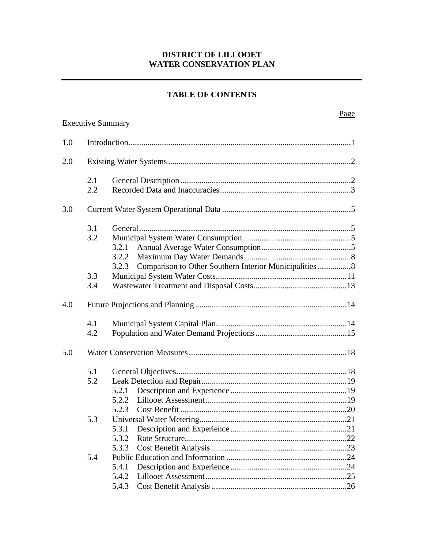#### **DISTRICT OF LILLOOET WATER CONSERVATION PLAN**

#### **TABLE OF CONTENTS**

|     |     | <b>Executive Summary</b>                                        | Page |  |  |  |  |
|-----|-----|-----------------------------------------------------------------|------|--|--|--|--|
|     |     |                                                                 |      |  |  |  |  |
| 1.0 |     |                                                                 |      |  |  |  |  |
| 2.0 |     |                                                                 |      |  |  |  |  |
|     | 2.1 |                                                                 |      |  |  |  |  |
|     | 2.2 |                                                                 |      |  |  |  |  |
| 3.0 |     |                                                                 |      |  |  |  |  |
|     | 3.1 |                                                                 |      |  |  |  |  |
|     | 3.2 |                                                                 |      |  |  |  |  |
|     |     | 3.2.1                                                           |      |  |  |  |  |
|     |     | 3.2.2                                                           |      |  |  |  |  |
|     |     | Comparison to Other Southern Interior Municipalities 8<br>3.2.3 |      |  |  |  |  |
|     | 3.3 |                                                                 |      |  |  |  |  |
|     | 3.4 |                                                                 |      |  |  |  |  |
| 4.0 |     |                                                                 |      |  |  |  |  |
|     | 4.1 |                                                                 |      |  |  |  |  |
|     | 4.2 |                                                                 |      |  |  |  |  |
| 5.0 |     |                                                                 |      |  |  |  |  |
|     | 5.1 |                                                                 |      |  |  |  |  |
|     | 5.2 |                                                                 |      |  |  |  |  |
|     |     | 5.2.1                                                           |      |  |  |  |  |
|     |     |                                                                 |      |  |  |  |  |
|     |     | 5.2.3                                                           |      |  |  |  |  |
|     | 5.3 |                                                                 |      |  |  |  |  |
|     |     | 5.3.1                                                           |      |  |  |  |  |
|     |     | 5.3.2                                                           |      |  |  |  |  |
|     |     | 5.3.3                                                           |      |  |  |  |  |
|     | 5.4 |                                                                 |      |  |  |  |  |
|     |     | 5.4.1                                                           |      |  |  |  |  |
|     |     | 5.4.2                                                           |      |  |  |  |  |
|     |     | 5.4.3                                                           |      |  |  |  |  |
|     |     |                                                                 |      |  |  |  |  |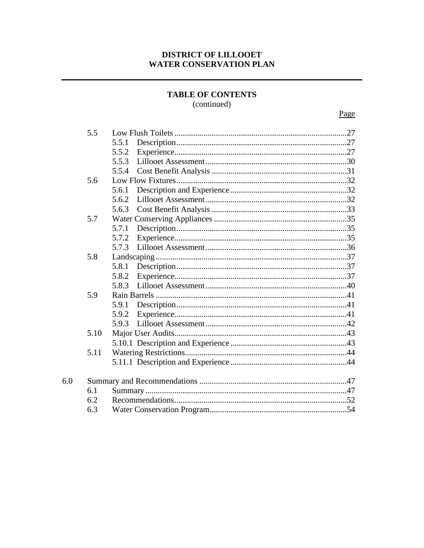#### DISTRICT OF LILLOOET **WATER CONSERVATION PLAN**

#### **TABLE OF CONTENTS** (continued)

| 5.5  |       |  |
|------|-------|--|
|      | 5.5.1 |  |
|      | 5.5.2 |  |
|      | 5.5.3 |  |
|      | 5.5.4 |  |
| 5.6  |       |  |
|      | 5.6.1 |  |
|      | 5.6.2 |  |
|      | 5.6.3 |  |
| 5.7  |       |  |
|      | 5.7.1 |  |
|      | 5.7.2 |  |
|      | 5.7.3 |  |
| 5.8  |       |  |
|      | 5.8.1 |  |
|      | 5.8.2 |  |
|      | 5.8.3 |  |
| 5.9  |       |  |
|      | 5.9.1 |  |
|      | 5.9.2 |  |
|      | 5.9.3 |  |
| 5.10 |       |  |
|      |       |  |
| 5.11 |       |  |
|      |       |  |
|      |       |  |
| 6.1  |       |  |
| 6.2  |       |  |
| 6.3  |       |  |
|      |       |  |

6.0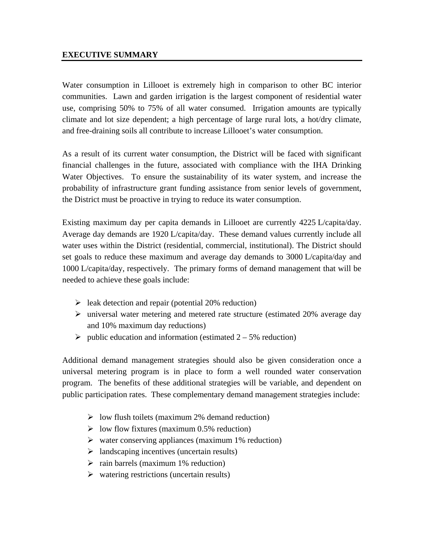#### **EXECUTIVE SUMMARY**

Water consumption in Lillooet is extremely high in comparison to other BC interior communities. Lawn and garden irrigation is the largest component of residential water use, comprising 50% to 75% of all water consumed. Irrigation amounts are typically climate and lot size dependent; a high percentage of large rural lots, a hot/dry climate, and free-draining soils all contribute to increase Lillooet's water consumption.

As a result of its current water consumption, the District will be faced with significant financial challenges in the future, associated with compliance with the IHA Drinking Water Objectives. To ensure the sustainability of its water system, and increase the probability of infrastructure grant funding assistance from senior levels of government, the District must be proactive in trying to reduce its water consumption.

Existing maximum day per capita demands in Lillooet are currently 4225 L/capita/day. Average day demands are 1920 L/capita/day. These demand values currently include all water uses within the District (residential, commercial, institutional). The District should set goals to reduce these maximum and average day demands to 3000 L/capita/day and 1000 L/capita/day, respectively. The primary forms of demand management that will be needed to achieve these goals include:

- $\triangleright$  leak detection and repair (potential 20% reduction)
- $\triangleright$  universal water metering and metered rate structure (estimated 20% average day and 10% maximum day reductions)
- $\blacktriangleright$  public education and information (estimated 2 5% reduction)

Additional demand management strategies should also be given consideration once a universal metering program is in place to form a well rounded water conservation program. The benefits of these additional strategies will be variable, and dependent on public participation rates. These complementary demand management strategies include:

- $\triangleright$  low flush toilets (maximum 2% demand reduction)
- $\triangleright$  low flow fixtures (maximum 0.5% reduction)
- $\triangleright$  water conserving appliances (maximum 1% reduction)
- $\triangleright$  landscaping incentives (uncertain results)
- $\triangleright$  rain barrels (maximum 1% reduction)
- $\triangleright$  watering restrictions (uncertain results)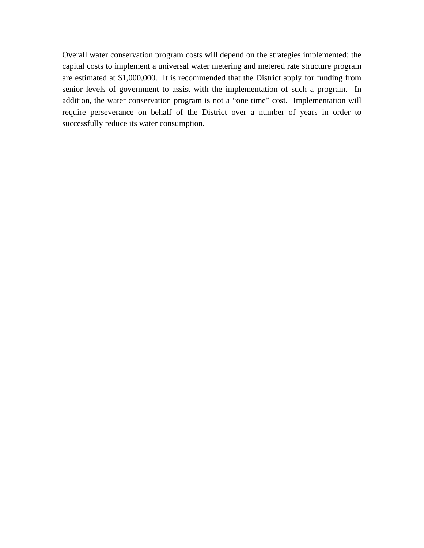Overall water conservation program costs will depend on the strategies implemented; the capital costs to implement a universal water metering and metered rate structure program are estimated at \$1,000,000. It is recommended that the District apply for funding from senior levels of government to assist with the implementation of such a program. In addition, the water conservation program is not a "one time" cost. Implementation will require perseverance on behalf of the District over a number of years in order to successfully reduce its water consumption.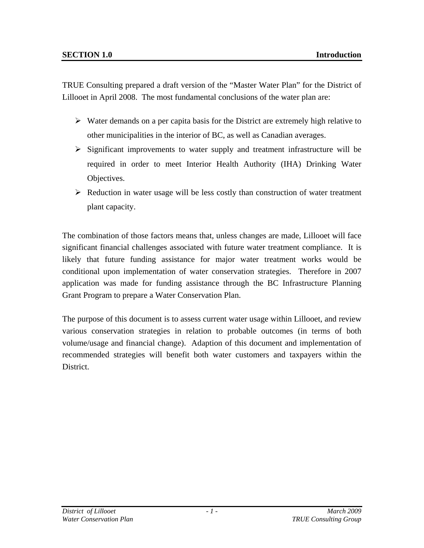TRUE Consulting prepared a draft version of the "Master Water Plan" for the District of Lillooet in April 2008. The most fundamental conclusions of the water plan are:

- $\triangleright$  Water demands on a per capita basis for the District are extremely high relative to other municipalities in the interior of BC, as well as Canadian averages.
- $\triangleright$  Significant improvements to water supply and treatment infrastructure will be required in order to meet Interior Health Authority (IHA) Drinking Water Objectives.
- $\triangleright$  Reduction in water usage will be less costly than construction of water treatment plant capacity.

The combination of those factors means that, unless changes are made, Lillooet will face significant financial challenges associated with future water treatment compliance. It is likely that future funding assistance for major water treatment works would be conditional upon implementation of water conservation strategies. Therefore in 2007 application was made for funding assistance through the BC Infrastructure Planning Grant Program to prepare a Water Conservation Plan.

The purpose of this document is to assess current water usage within Lillooet, and review various conservation strategies in relation to probable outcomes (in terms of both volume/usage and financial change). Adaption of this document and implementation of recommended strategies will benefit both water customers and taxpayers within the District.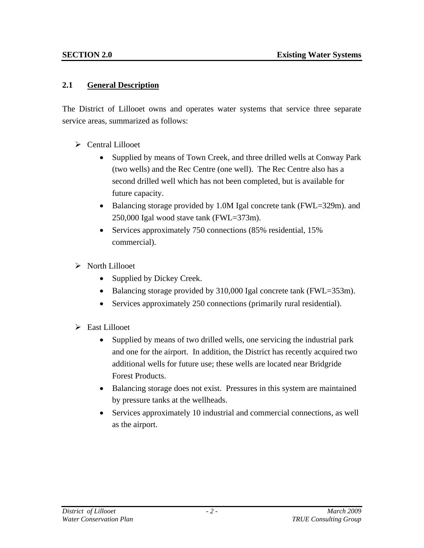#### **2.1 General Description**

The District of Lillooet owns and operates water systems that service three separate service areas, summarized as follows:

- ¾ Central Lillooet
	- Supplied by means of Town Creek, and three drilled wells at Conway Park (two wells) and the Rec Centre (one well). The Rec Centre also has a second drilled well which has not been completed, but is available for future capacity.
	- Balancing storage provided by 1.0M Igal concrete tank (FWL=329m). and 250,000 Igal wood stave tank (FWL=373m).
	- Services approximately 750 connections (85% residential, 15%) commercial).
- $\triangleright$  North Lillooet
	- Supplied by Dickey Creek.
	- Balancing storage provided by 310,000 Igal concrete tank (FWL=353m).
	- Services approximately 250 connections (primarily rural residential).
- $\triangleright$  East Lillooet
	- Supplied by means of two drilled wells, one servicing the industrial park and one for the airport. In addition, the District has recently acquired two additional wells for future use; these wells are located near Bridgride Forest Products.
	- Balancing storage does not exist. Pressures in this system are maintained by pressure tanks at the wellheads.
	- Services approximately 10 industrial and commercial connections, as well as the airport.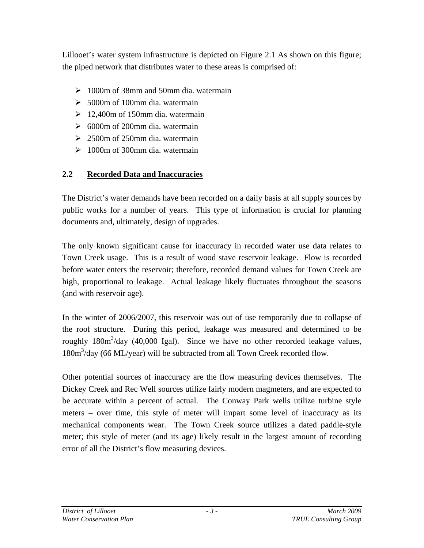Lillooet's water system infrastructure is depicted on Figure 2.1 As shown on this figure; the piped network that distributes water to these areas is comprised of:

- $\geq 1000$ m of 38mm and 50mm dia. watermain
- $\geq 5000$ m of 100mm dia. watermain
- $\geq 12,400$ m of 150mm dia. watermain
- $\geq 6000$ m of 200mm dia. watermain
- $\geq 2500$ m of 250mm dia. watermain
- $\geq 1000$ m of 300mm dia. watermain

# **2.2 Recorded Data and Inaccuracies**

The District's water demands have been recorded on a daily basis at all supply sources by public works for a number of years. This type of information is crucial for planning documents and, ultimately, design of upgrades.

The only known significant cause for inaccuracy in recorded water use data relates to Town Creek usage. This is a result of wood stave reservoir leakage. Flow is recorded before water enters the reservoir; therefore, recorded demand values for Town Creek are high, proportional to leakage. Actual leakage likely fluctuates throughout the seasons (and with reservoir age).

In the winter of 2006/2007, this reservoir was out of use temporarily due to collapse of the roof structure. During this period, leakage was measured and determined to be roughly  $180m<sup>3</sup>/day$  (40,000 Igal). Since we have no other recorded leakage values, 180m<sup>3</sup>/day (66 ML/year) will be subtracted from all Town Creek recorded flow.

Other potential sources of inaccuracy are the flow measuring devices themselves. The Dickey Creek and Rec Well sources utilize fairly modern magmeters, and are expected to be accurate within a percent of actual. The Conway Park wells utilize turbine style meters – over time, this style of meter will impart some level of inaccuracy as its mechanical components wear. The Town Creek source utilizes a dated paddle-style meter; this style of meter (and its age) likely result in the largest amount of recording error of all the District's flow measuring devices.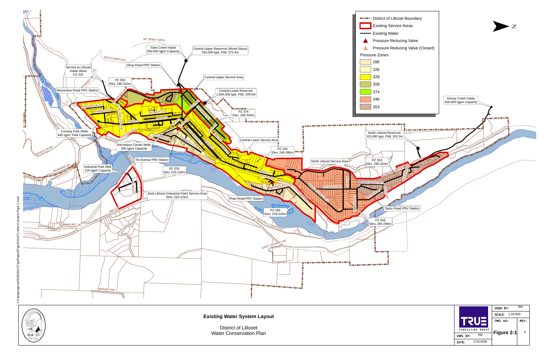ਦੁ

**Existing Water System Layout**



District of LillooetWater Conservation Plan



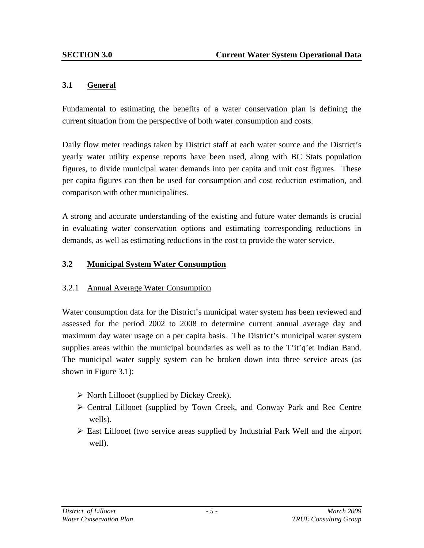#### **3.1 General**

Fundamental to estimating the benefits of a water conservation plan is defining the current situation from the perspective of both water consumption and costs.

Daily flow meter readings taken by District staff at each water source and the District's yearly water utility expense reports have been used, along with BC Stats population figures, to divide municipal water demands into per capita and unit cost figures. These per capita figures can then be used for consumption and cost reduction estimation, and comparison with other municipalities.

A strong and accurate understanding of the existing and future water demands is crucial in evaluating water conservation options and estimating corresponding reductions in demands, as well as estimating reductions in the cost to provide the water service.

#### **3.2 Municipal System Water Consumption**

#### 3.2.1 Annual Average Water Consumption

Water consumption data for the District's municipal water system has been reviewed and assessed for the period 2002 to 2008 to determine current annual average day and maximum day water usage on a per capita basis. The District's municipal water system supplies areas within the municipal boundaries as well as to the T'it'q'et Indian Band. The municipal water supply system can be broken down into three service areas (as shown in Figure 3.1):

- $\triangleright$  North Lillooet (supplied by Dickey Creek).
- ¾ Central Lillooet (supplied by Town Creek, and Conway Park and Rec Centre wells).
- $\triangleright$  East Lillooet (two service areas supplied by Industrial Park Well and the airport well).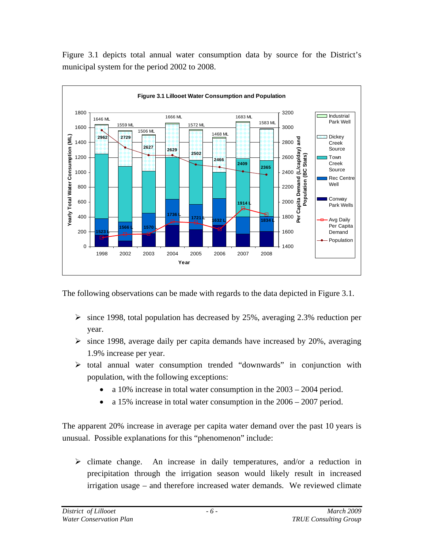Figure 3.1 depicts total annual water consumption data by source for the District's municipal system for the period 2002 to 2008.



The following observations can be made with regards to the data depicted in Figure 3.1.

- $\geq$  since 1998, total population has decreased by 25%, averaging 2.3% reduction per year.
- $\geq$  since 1998, average daily per capita demands have increased by 20%, averaging 1.9% increase per year.
- ¾ total annual water consumption trended "downwards" in conjunction with population, with the following exceptions:
	- a 10% increase in total water consumption in the 2003 2004 period.
	- a 15% increase in total water consumption in the 2006 2007 period.

The apparent 20% increase in average per capita water demand over the past 10 years is unusual. Possible explanations for this "phenomenon" include:

 $\triangleright$  climate change. An increase in daily temperatures, and/or a reduction in precipitation through the irrigation season would likely result in increased irrigation usage – and therefore increased water demands. We reviewed climate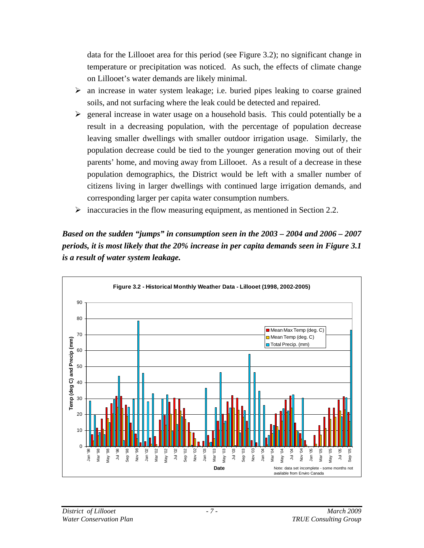data for the Lillooet area for this period (see Figure 3.2); no significant change in temperature or precipitation was noticed. As such, the effects of climate change on Lillooet's water demands are likely minimal.

- $\triangleright$  an increase in water system leakage; i.e. buried pipes leaking to coarse grained soils, and not surfacing where the leak could be detected and repaired.
- $\triangleright$  general increase in water usage on a household basis. This could potentially be a result in a decreasing population, with the percentage of population decrease leaving smaller dwellings with smaller outdoor irrigation usage. Similarly, the population decrease could be tied to the younger generation moving out of their parents' home, and moving away from Lillooet. As a result of a decrease in these population demographics, the District would be left with a smaller number of citizens living in larger dwellings with continued large irrigation demands, and corresponding larger per capita water consumption numbers.
- $\triangleright$  inaccuracies in the flow measuring equipment, as mentioned in Section 2.2.

*Based on the sudden "jumps" in consumption seen in the 2003 – 2004 and 2006 – 2007 periods, it is most likely that the 20% increase in per capita demands seen in Figure 3.1 is a result of water system leakage.* 

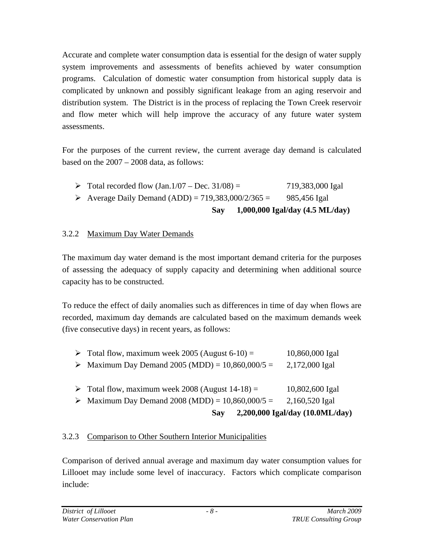Accurate and complete water consumption data is essential for the design of water supply system improvements and assessments of benefits achieved by water consumption programs. Calculation of domestic water consumption from historical supply data is complicated by unknown and possibly significant leakage from an aging reservoir and distribution system. The District is in the process of replacing the Town Creek reservoir and flow meter which will help improve the accuracy of any future water system assessments.

For the purposes of the current review, the current average day demand is calculated based on the 2007 – 2008 data, as follows:

- Total recorded flow  $(Jan.1/07 Dec. 31/08) = 719,383,000$  Igal
- Average Daily Demand (ADD) =  $719,383,000/2/365 = 985,456$  Igal

```
 Say 1,000,000 Igal/day (4.5 ML/day)
```
# 3.2.2 Maximum Day Water Demands

The maximum day water demand is the most important demand criteria for the purposes of assessing the adequacy of supply capacity and determining when additional source capacity has to be constructed.

To reduce the effect of daily anomalies such as differences in time of day when flows are recorded, maximum day demands are calculated based on the maximum demands week (five consecutive days) in recent years, as follows:

| $\triangleright$ Total flow, maximum week 2005 (August 6-10) =<br>• Maximum Day Demand 2005 (MDD) = $10,860,000/5 =$                | 10,860,000 Igal<br>2,172,000 Igal                                    |
|-------------------------------------------------------------------------------------------------------------------------------------|----------------------------------------------------------------------|
| $\triangleright$ Total flow, maximum week 2008 (August 14-18) =<br>• Maximum Day Demand 2008 (MDD) = $10,860,000/5 =$<br><b>Say</b> | 10,802,600 Igal<br>2,160,520 Igal<br>2,200,000 Igal/day (10.0ML/day) |

## 3.2.3 Comparison to Other Southern Interior Municipalities

Comparison of derived annual average and maximum day water consumption values for Lillooet may include some level of inaccuracy. Factors which complicate comparison include: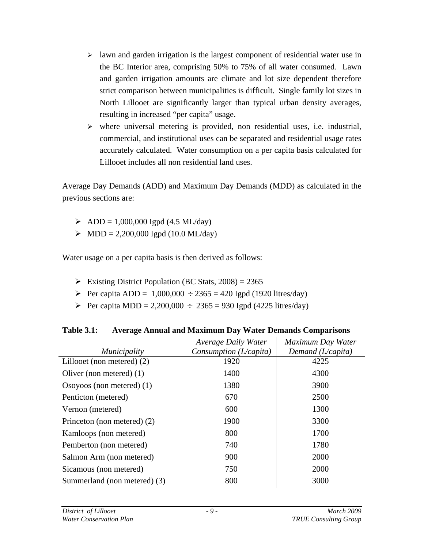- $\geq$  lawn and garden irrigation is the largest component of residential water use in the BC Interior area, comprising 50% to 75% of all water consumed. Lawn and garden irrigation amounts are climate and lot size dependent therefore strict comparison between municipalities is difficult. Single family lot sizes in North Lillooet are significantly larger than typical urban density averages, resulting in increased "per capita" usage.
- $\triangleright$  where universal metering is provided, non residential uses, i.e. industrial, commercial, and institutional uses can be separated and residential usage rates accurately calculated. Water consumption on a per capita basis calculated for Lillooet includes all non residential land uses.

Average Day Demands (ADD) and Maximum Day Demands (MDD) as calculated in the previous sections are:

- $\triangleright$  ADD = 1,000,000 Igpd (4.5 ML/day)
- $\triangleright$  MDD = 2,200,000 Igpd (10.0 ML/day)

Water usage on a per capita basis is then derived as follows:

- Existing District Population (BC Stats,  $2008$ ) = 2365
- Per capita ADD =  $1,000,000 \div 2365 = 420$  Igpd (1920 litres/day)
- Per capita MDD = 2,200,000  $\div$  2365 = 930 Igpd (4225 litres/day)

| <b>Table 3.1:</b> | <b>Average Annual and Maximum Day Water Demands Comparisons</b> |
|-------------------|-----------------------------------------------------------------|
|-------------------|-----------------------------------------------------------------|

| <i>Municipality</i>          | <b>Average Daily Water</b><br>Consumption $(L/capita)$ | Maximum Day Water<br>Demand $(L/capita)$ |
|------------------------------|--------------------------------------------------------|------------------------------------------|
| Lillooet (non metered) $(2)$ | 1920                                                   | 4225                                     |
| Oliver (non metered) $(1)$   | 1400                                                   | 4300                                     |
| Osoyoos (non metered) $(1)$  | 1380                                                   | 3900                                     |
| Penticton (metered)          | 670                                                    | 2500                                     |
| Vernon (metered)             | 600                                                    | 1300                                     |
| Princeton (non metered) (2)  | 1900                                                   | 3300                                     |
| Kamloops (non metered)       | 800                                                    | 1700                                     |
| Pemberton (non metered)      | 740                                                    | 1780                                     |
| Salmon Arm (non metered)     | 900                                                    | 2000                                     |
| Sicamous (non metered)       | 750                                                    | 2000                                     |
| Summerland (non metered) (3) | 800                                                    | 3000                                     |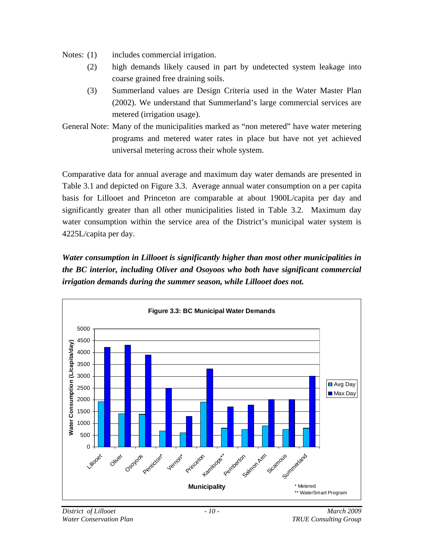- Notes: (1) includes commercial irrigation.
	- (2) high demands likely caused in part by undetected system leakage into coarse grained free draining soils.
	- (3) Summerland values are Design Criteria used in the Water Master Plan (2002). We understand that Summerland's large commercial services are metered (irrigation usage).
- General Note: Many of the municipalities marked as "non metered" have water metering programs and metered water rates in place but have not yet achieved universal metering across their whole system.

Comparative data for annual average and maximum day water demands are presented in Table 3.1 and depicted on Figure 3.3. Average annual water consumption on a per capita basis for Lillooet and Princeton are comparable at about 1900L/capita per day and significantly greater than all other municipalities listed in Table 3.2. Maximum day water consumption within the service area of the District's municipal water system is 4225L/capita per day.

*Water consumption in Lillooet is significantly higher than most other municipalities in the BC interior, including Oliver and Osoyoos who both have significant commercial irrigation demands during the summer season, while Lillooet does not.* 

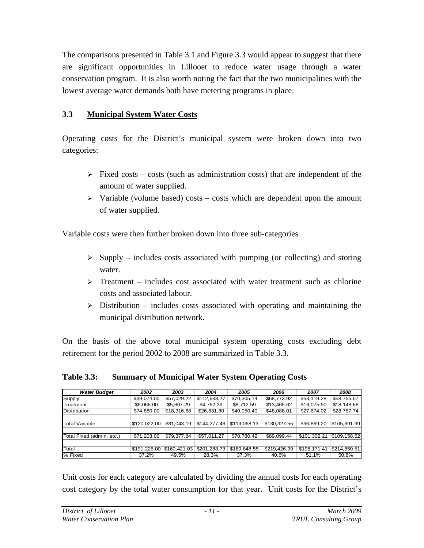The comparisons presented in Table 3.1 and Figure 3.3 would appear to suggest that there are significant opportunities in Lillooet to reduce water usage through a water conservation program. It is also worth noting the fact that the two municipalities with the lowest average water demands both have metering programs in place.

## **3.3 Municipal System Water Costs**

Operating costs for the District's municipal system were broken down into two categories:

- $\triangleright$  Fixed costs costs (such as administration costs) that are independent of the amount of water supplied.
- $\triangleright$  Variable (volume based) costs costs which are dependent upon the amount of water supplied.

Variable costs were then further broken down into three sub-categories

- $\triangleright$  Supply includes costs associated with pumping (or collecting) and storing water.
- $\triangleright$  Treatment includes cost associated with water treatment such as chlorine costs and associated labour.
- $\triangleright$  Distribution includes costs associated with operating and maintaining the municipal distribution network.

On the basis of the above total municipal system operating costs excluding debt retirement for the period 2002 to 2008 are summarized in Table 3.3.

| <b>Water Budget</b>       | 2002         | 2003         | 2004         | 2005         | 2006         | 2007         | 2008         |
|---------------------------|--------------|--------------|--------------|--------------|--------------|--------------|--------------|
| Supply                    | \$39,074.00  | \$57,029.22  | \$112,683.27 | \$70,305.14  | \$68,773.92  | \$53,119.28  | \$58,755.57  |
| Treatment                 | \$6,068.00   | \$5,697.29   | \$4,762.39   | \$8,712.59   | \$13,465.62  | \$16,075.90  | \$18,148.68  |
| <b>Distribution</b>       | \$74,880.00  | \$18,316.68  | \$26,831.80  | \$40,050.40  | \$48,088.01  | \$27,674.02  | \$28,787.74  |
|                           |              |              |              |              |              |              |              |
| <b>Total Variable</b>     | \$120.022.00 | \$81,043.19  | \$144,277.46 | \$119,068.13 | \$130,327.55 | \$96,869.20  | \$105,691.99 |
|                           |              |              |              |              |              |              |              |
| Total Fixed (admin, etc.) | \$71,203.00  | \$79,377.84  | \$57,011.27  | \$70,780.42  | \$89,099.44  | \$101,302.21 | \$109,158.52 |
|                           |              |              |              |              |              |              |              |
| Total                     | \$191,225.00 | \$160,421.03 | \$201,288.73 | \$189,848.55 | \$219,426.99 | \$198,171.41 | \$214,850.51 |
| % Fixed                   | 37.2%        | 49.5%        | 28.3%        | 37.3%        | 40.6%        | 51.1%        | 50.8%        |

**Table 3.3: Summary of Municipal Water System Operating Costs** 

Unit costs for each category are calculated by dividing the annual costs for each operating cost category by the total water consumption for that year. Unit costs for the District's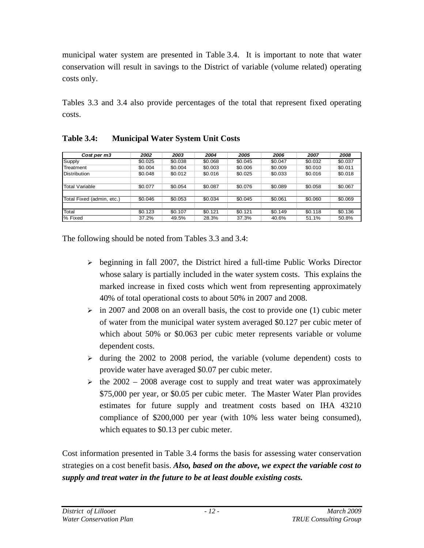municipal water system are presented in Table 3.4. It is important to note that water conservation will result in savings to the District of variable (volume related) operating costs only.

Tables 3.3 and 3.4 also provide percentages of the total that represent fixed operating costs.

| Cost per m3               | 2002    | 2003    | 2004    | 2005    | 2006    | 2007    | 2008    |
|---------------------------|---------|---------|---------|---------|---------|---------|---------|
| Supply                    | \$0.025 | \$0.038 | \$0.068 | \$0.045 | \$0.047 | \$0.032 | \$0.037 |
| Treatment                 | \$0.004 | \$0.004 | \$0.003 | \$0.006 | \$0.009 | \$0.010 | \$0.011 |
| <b>Distribution</b>       | \$0.048 | \$0.012 | \$0.016 | \$0.025 | \$0.033 | \$0.016 | \$0.018 |
|                           |         |         |         |         |         |         |         |
| <b>Total Variable</b>     | \$0.077 | \$0.054 | \$0.087 | \$0.076 | \$0.089 | \$0.058 | \$0.067 |
|                           |         |         |         |         |         |         |         |
| Total Fixed (admin, etc.) | \$0.046 | \$0.053 | \$0.034 | \$0.045 | \$0.061 | \$0.060 | \$0.069 |
|                           |         |         |         |         |         |         |         |
| Total                     | \$0.123 | \$0.107 | \$0.121 | \$0.121 | \$0.149 | \$0.118 | \$0.136 |
| % Fixed                   | 37.2%   | 49.5%   | 28.3%   | 37.3%   | 40.6%   | 51.1%   | 50.8%   |

**Table 3.4: Municipal Water System Unit Costs** 

The following should be noted from Tables 3.3 and 3.4:

- $\triangleright$  beginning in fall 2007, the District hired a full-time Public Works Director whose salary is partially included in the water system costs. This explains the marked increase in fixed costs which went from representing approximately 40% of total operational costs to about 50% in 2007 and 2008.
- $\geq$  in 2007 and 2008 on an overall basis, the cost to provide one (1) cubic meter of water from the municipal water system averaged \$0.127 per cubic meter of which about 50% or \$0.063 per cubic meter represents variable or volume dependent costs.
- $\geq$  during the 2002 to 2008 period, the variable (volume dependent) costs to provide water have averaged \$0.07 per cubic meter.
- $\ge$  the 2002 2008 average cost to supply and treat water was approximately \$75,000 per year, or \$0.05 per cubic meter. The Master Water Plan provides estimates for future supply and treatment costs based on IHA 43210 compliance of \$200,000 per year (with 10% less water being consumed), which equates to \$0.13 per cubic meter.

Cost information presented in Table 3.4 forms the basis for assessing water conservation strategies on a cost benefit basis. *Also, based on the above, we expect the variable cost to supply and treat water in the future to be at least double existing costs.*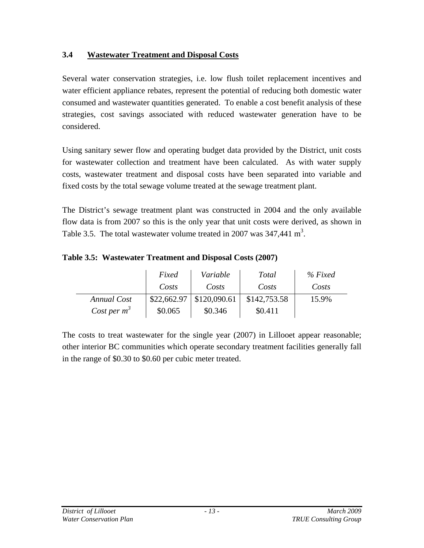## **3.4 Wastewater Treatment and Disposal Costs**

Several water conservation strategies, i.e. low flush toilet replacement incentives and water efficient appliance rebates, represent the potential of reducing both domestic water consumed and wastewater quantities generated. To enable a cost benefit analysis of these strategies, cost savings associated with reduced wastewater generation have to be considered.

Using sanitary sewer flow and operating budget data provided by the District, unit costs for wastewater collection and treatment have been calculated. As with water supply costs, wastewater treatment and disposal costs have been separated into variable and fixed costs by the total sewage volume treated at the sewage treatment plant.

The District's sewage treatment plant was constructed in 2004 and the only available flow data is from 2007 so this is the only year that unit costs were derived, as shown in Table 3.5. The total wastewater volume treated in 2007 was  $347,441 \text{ m}^3$ .

**Table 3.5: Wastewater Treatment and Disposal Costs (2007)**

|                | Fixed       | Variable     | <b>Total</b> | $%$ Fixed |
|----------------|-------------|--------------|--------------|-----------|
|                | Costs       | Costs        | Costs        | Costs     |
| Annual Cost    | \$22,662.97 | \$120,090.61 | \$142,753.58 | 15.9%     |
| Cost per $m^3$ | \$0.065     | \$0.346      | \$0.411      |           |

The costs to treat wastewater for the single year (2007) in Lillooet appear reasonable; other interior BC communities which operate secondary treatment facilities generally fall in the range of \$0.30 to \$0.60 per cubic meter treated.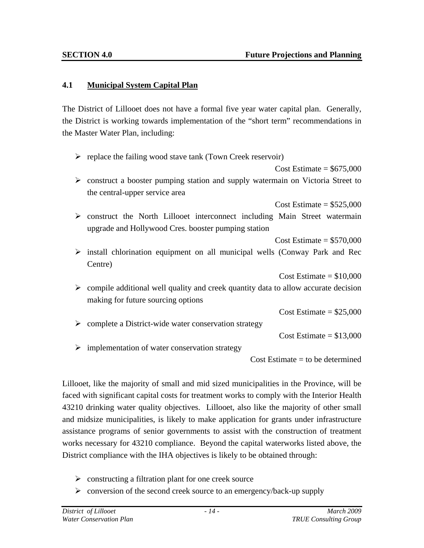#### **4.1 Municipal System Capital Plan**

The District of Lillooet does not have a formal five year water capital plan. Generally, the District is working towards implementation of the "short term" recommendations in the Master Water Plan, including:

|   | $\triangleright$ replace the failing wood stave tank (Town Creek reservoir)                         |
|---|-----------------------------------------------------------------------------------------------------|
|   | Cost Estimate = $$675,000$                                                                          |
| ➤ | construct a booster pumping station and supply watermain on Victoria Street to                      |
|   | the central-upper service area                                                                      |
|   | Cost Estimate = $$525,000$                                                                          |
| ➤ | construct the North Lillooet interconnect including Main Street watermain                           |
|   | upgrade and Hollywood Cres. booster pumping station                                                 |
|   | $Cost Estimate = $570,000$                                                                          |
|   | $\triangleright$ install chlorination equipment on all municipal wells (Conway Park and Rec         |
|   | Centre)                                                                                             |
|   | Cost Estimate = $$10,000$                                                                           |
|   | $\triangleright$ compile additional well quality and creek quantity data to allow accurate decision |
|   | making for future sourcing options                                                                  |
|   | Cost Estimate = $$25,000$                                                                           |
| ➤ | complete a District-wide water conservation strategy                                                |
|   | Cost Estimate = $$13,000$                                                                           |
| ➤ | implementation of water conservation strategy                                                       |
|   | $Cost Estimate = to be determined$                                                                  |
|   |                                                                                                     |

Lillooet, like the majority of small and mid sized municipalities in the Province, will be faced with significant capital costs for treatment works to comply with the Interior Health 43210 drinking water quality objectives. Lillooet, also like the majority of other small and midsize municipalities, is likely to make application for grants under infrastructure assistance programs of senior governments to assist with the construction of treatment works necessary for 43210 compliance. Beyond the capital waterworks listed above, the District compliance with the IHA objectives is likely to be obtained through:

- $\triangleright$  constructing a filtration plant for one creek source
- $\triangleright$  conversion of the second creek source to an emergency/back-up supply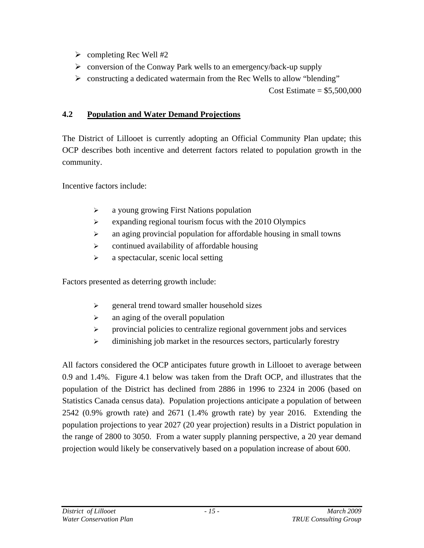- $\triangleright$  completing Rec Well #2
- $\triangleright$  conversion of the Conway Park wells to an emergency/back-up supply
- $\triangleright$  constructing a dedicated watermain from the Rec Wells to allow "blending"

Cost Estimate =  $$5,500,000$ 

# **4.2 Population and Water Demand Projections**

The District of Lillooet is currently adopting an Official Community Plan update; this OCP describes both incentive and deterrent factors related to population growth in the community.

Incentive factors include:

- ¾ a young growing First Nations population
- $\triangleright$  expanding regional tourism focus with the 2010 Olympics
- $\triangleright$  an aging provincial population for affordable housing in small towns
- $\triangleright$  continued availability of affordable housing
- $\triangleright$  a spectacular, scenic local setting

Factors presented as deterring growth include:

- $\triangleright$  general trend toward smaller household sizes
- $\triangleright$  an aging of the overall population
- ¾ provincial policies to centralize regional government jobs and services
- $\triangleright$  diminishing job market in the resources sectors, particularly forestry

All factors considered the OCP anticipates future growth in Lillooet to average between 0.9 and 1.4%. Figure 4.1 below was taken from the Draft OCP, and illustrates that the population of the District has declined from 2886 in 1996 to 2324 in 2006 (based on Statistics Canada census data). Population projections anticipate a population of between 2542 (0.9% growth rate) and 2671 (1.4% growth rate) by year 2016. Extending the population projections to year 2027 (20 year projection) results in a District population in the range of 2800 to 3050. From a water supply planning perspective, a 20 year demand projection would likely be conservatively based on a population increase of about 600.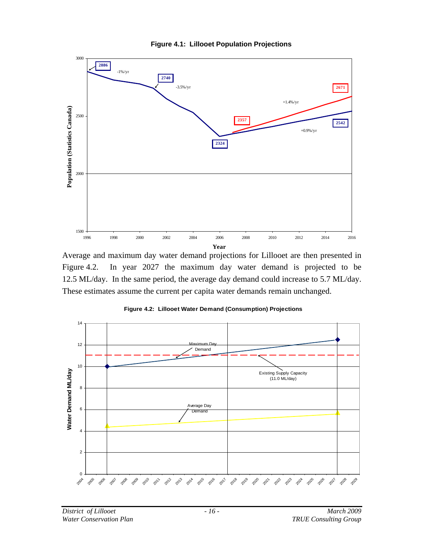

**Figure 4.1: Lillooet Population Projections** 

Average and maximum day water demand projections for Lillooet are then presented in Figure 4.2. In year 2027 the maximum day water demand is projected to be 12.5 ML/day. In the same period, the average day demand could increase to 5.7 ML/day. These estimates assume the current per capita water demands remain unchanged.



**Figure 4.2: Lillooet Water Demand (Consumption) Projections**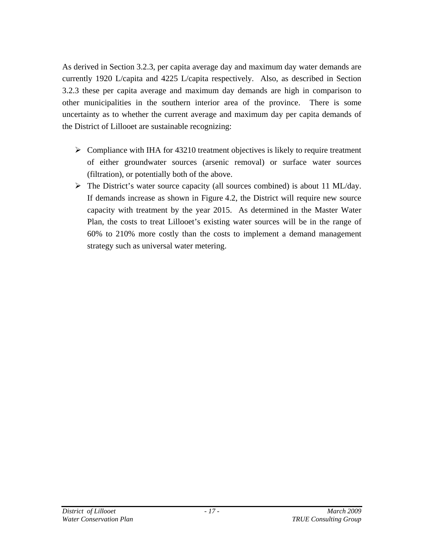As derived in Section 3.2.3, per capita average day and maximum day water demands are currently 1920 L/capita and 4225 L/capita respectively. Also, as described in Section 3.2.3 these per capita average and maximum day demands are high in comparison to other municipalities in the southern interior area of the province. There is some uncertainty as to whether the current average and maximum day per capita demands of the District of Lillooet are sustainable recognizing:

- $\triangleright$  Compliance with IHA for 43210 treatment objectives is likely to require treatment of either groundwater sources (arsenic removal) or surface water sources (filtration), or potentially both of the above.
- ¾ The District's water source capacity (all sources combined) is about 11 ML/day. If demands increase as shown in Figure 4.2, the District will require new source capacity with treatment by the year 2015. As determined in the Master Water Plan, the costs to treat Lillooet's existing water sources will be in the range of 60% to 210% more costly than the costs to implement a demand management strategy such as universal water metering.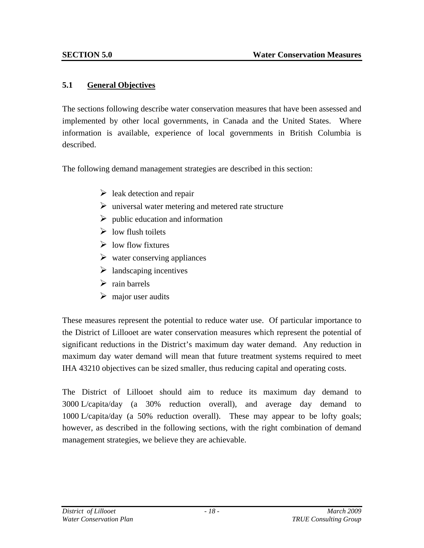#### **5.1 General Objectives**

The sections following describe water conservation measures that have been assessed and implemented by other local governments, in Canada and the United States. Where information is available, experience of local governments in British Columbia is described.

The following demand management strategies are described in this section:

- $\triangleright$  leak detection and repair
- $\triangleright$  universal water metering and metered rate structure
- $\triangleright$  public education and information
- $\triangleright$  low flush toilets
- $\triangleright$  low flow fixtures
- $\triangleright$  water conserving appliances
- $\triangleright$  landscaping incentives
- $\triangleright$  rain barrels
- $\triangleright$  major user audits

These measures represent the potential to reduce water use. Of particular importance to the District of Lillooet are water conservation measures which represent the potential of significant reductions in the District's maximum day water demand. Any reduction in maximum day water demand will mean that future treatment systems required to meet IHA 43210 objectives can be sized smaller, thus reducing capital and operating costs.

The District of Lillooet should aim to reduce its maximum day demand to 3000 L/capita/day (a 30% reduction overall), and average day demand to 1000 L/capita/day (a 50% reduction overall). These may appear to be lofty goals; however, as described in the following sections, with the right combination of demand management strategies, we believe they are achievable.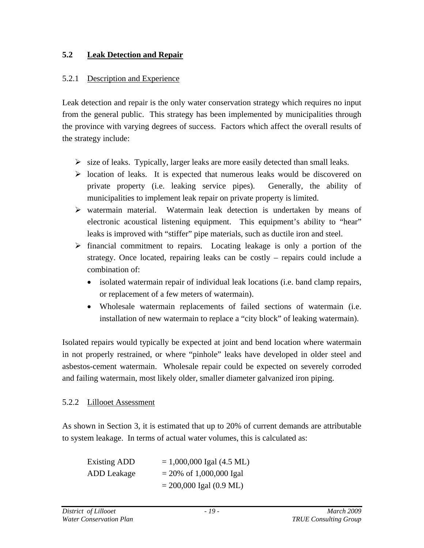## **5.2 Leak Detection and Repair**

#### 5.2.1 Description and Experience

Leak detection and repair is the only water conservation strategy which requires no input from the general public. This strategy has been implemented by municipalities through the province with varying degrees of success. Factors which affect the overall results of the strategy include:

- $\triangleright$  size of leaks. Typically, larger leaks are more easily detected than small leaks.
- $\triangleright$  location of leaks. It is expected that numerous leaks would be discovered on private property (i.e. leaking service pipes). Generally, the ability of municipalities to implement leak repair on private property is limited.
- $\triangleright$  watermain material. Watermain leak detection is undertaken by means of electronic acoustical listening equipment. This equipment's ability to "hear" leaks is improved with "stiffer" pipe materials, such as ductile iron and steel.
- $\triangleright$  financial commitment to repairs. Locating leakage is only a portion of the strategy. Once located, repairing leaks can be costly – repairs could include a combination of:
	- isolated watermain repair of individual leak locations (i.e. band clamp repairs, or replacement of a few meters of watermain).
	- Wholesale watermain replacements of failed sections of watermain (i.e. installation of new watermain to replace a "city block" of leaking watermain).

Isolated repairs would typically be expected at joint and bend location where watermain in not properly restrained, or where "pinhole" leaks have developed in older steel and asbestos-cement watermain. Wholesale repair could be expected on severely corroded and failing watermain, most likely older, smaller diameter galvanized iron piping.

#### 5.2.2 Lillooet Assessment

As shown in Section 3, it is estimated that up to 20% of current demands are attributable to system leakage. In terms of actual water volumes, this is calculated as:

| Existing ADD | $= 1,000,000$ Igal (4.5 ML)                 |
|--------------|---------------------------------------------|
| ADD Leakage  | $= 20\% \text{ of } 1,000,000 \text{ Igal}$ |
|              | $= 200,000$ Igal (0.9 ML)                   |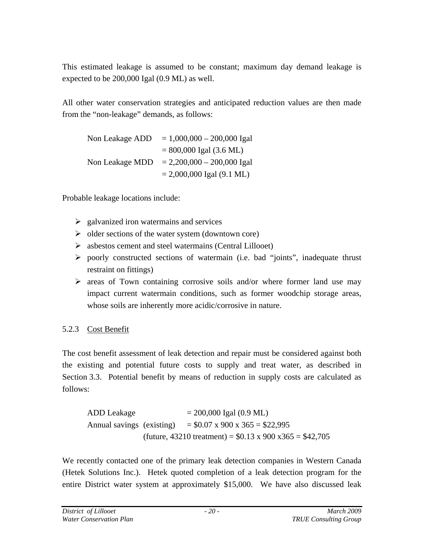This estimated leakage is assumed to be constant; maximum day demand leakage is expected to be 200,000 Igal (0.9 ML) as well.

All other water conservation strategies and anticipated reduction values are then made from the "non-leakage" demands, as follows:

Non Leakage  $ADD = 1,000,000 - 200,000$  Igal  $= 800,000$  Igal (3.6 ML) Non Leakage MDD  $= 2,200,000 - 200,000$  Igal  $= 2,000,000$  Igal (9.1 ML)

Probable leakage locations include:

- $\geq$  galvanized iron watermains and services
- $\triangleright$  older sections of the water system (downtown core)
- $\triangleright$  asbestos cement and steel watermains (Central Lillooet)
- $\triangleright$  poorly constructed sections of watermain (i.e. bad "joints", inadequate thrust restraint on fittings)
- $\triangleright$  areas of Town containing corrosive soils and/or where former land use may impact current watermain conditions, such as former woodchip storage areas, whose soils are inherently more acidic/corrosive in nature.

# 5.2.3 Cost Benefit

The cost benefit assessment of leak detection and repair must be considered against both the existing and potential future costs to supply and treat water, as described in Section 3.3. Potential benefit by means of reduction in supply costs are calculated as follows:

ADD Leakage  $= 200,000$  Igal  $(0.9$  ML) Annual savings (existing)  $= $0.07 \times 900 \times 365 = $22,995$  $(fature, 43210 treatment) = $0.13 \times 900 \times 365 = $42,705$ 

We recently contacted one of the primary leak detection companies in Western Canada (Hetek Solutions Inc.). Hetek quoted completion of a leak detection program for the entire District water system at approximately \$15,000. We have also discussed leak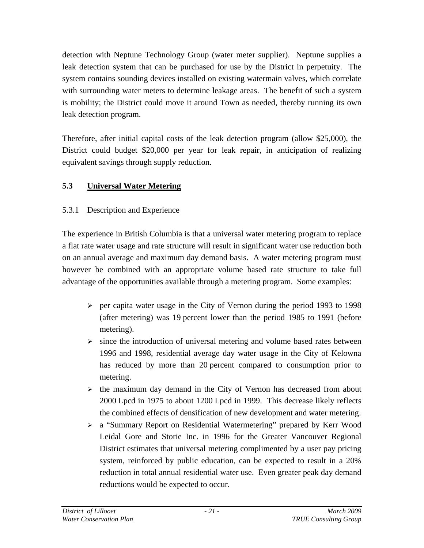detection with Neptune Technology Group (water meter supplier). Neptune supplies a leak detection system that can be purchased for use by the District in perpetuity. The system contains sounding devices installed on existing watermain valves, which correlate with surrounding water meters to determine leakage areas. The benefit of such a system is mobility; the District could move it around Town as needed, thereby running its own leak detection program.

Therefore, after initial capital costs of the leak detection program (allow \$25,000), the District could budget \$20,000 per year for leak repair, in anticipation of realizing equivalent savings through supply reduction.

# **5.3 Universal Water Metering**

# 5.3.1 Description and Experience

The experience in British Columbia is that a universal water metering program to replace a flat rate water usage and rate structure will result in significant water use reduction both on an annual average and maximum day demand basis. A water metering program must however be combined with an appropriate volume based rate structure to take full advantage of the opportunities available through a metering program. Some examples:

- $\triangleright$  per capita water usage in the City of Vernon during the period 1993 to 1998 (after metering) was 19 percent lower than the period 1985 to 1991 (before metering).
- $\triangleright$  since the introduction of universal metering and volume based rates between 1996 and 1998, residential average day water usage in the City of Kelowna has reduced by more than 20 percent compared to consumption prior to metering.
- $\triangleright$  the maximum day demand in the City of Vernon has decreased from about 2000 Lpcd in 1975 to about 1200 Lpcd in 1999. This decrease likely reflects the combined effects of densification of new development and water metering.
- ¾ a "Summary Report on Residential Watermetering" prepared by Kerr Wood Leidal Gore and Storie Inc. in 1996 for the Greater Vancouver Regional District estimates that universal metering complimented by a user pay pricing system, reinforced by public education, can be expected to result in a 20% reduction in total annual residential water use. Even greater peak day demand reductions would be expected to occur.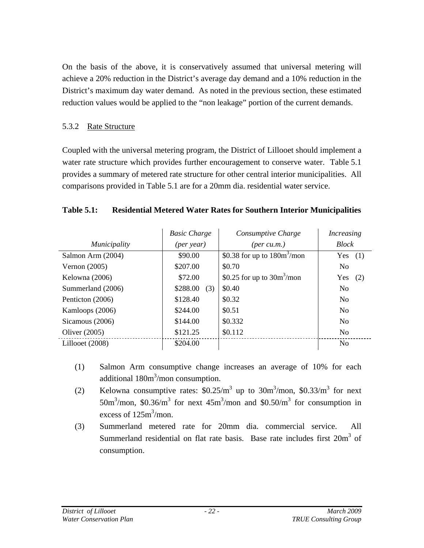On the basis of the above, it is conservatively assumed that universal metering will achieve a 20% reduction in the District's average day demand and a 10% reduction in the District's maximum day water demand. As noted in the previous section, these estimated reduction values would be applied to the "non leakage" portion of the current demands.

#### 5.3.2 Rate Structure

Coupled with the universal metering program, the District of Lillooet should implement a water rate structure which provides further encouragement to conserve water. Table 5.1 provides a summary of metered rate structure for other central interior municipalities. All comparisons provided in Table 5.1 are for a 20mm dia. residential water service.

#### **Table 5.1: Residential Metered Water Rates for Southern Interior Municipalities**

|                            | <b>Basic Charge</b> | Consumptive Charge             | <i>Increasing</i> |
|----------------------------|---------------------|--------------------------------|-------------------|
| Municipality<br>(per year) |                     | $(\text{per cu.m.})$           | <b>Block</b>      |
| Salmon Arm (2004)          | \$90.00             | \$0.38 for up to $180m^3$ /mon | Yes<br>(1)        |
| Vernon $(2005)$            | \$207.00            | \$0.70                         | N <sub>0</sub>    |
| Kelowna (2006)             | \$72.00             | \$0.25 for up to $30m^3$ /mon  | Yes<br>(2)        |
| Summerland (2006)          | \$288.00<br>(3)     | \$0.40                         | N <sub>0</sub>    |
| Penticton (2006)           | \$128.40            | \$0.32                         | N <sub>0</sub>    |
| Kamloops (2006)            | \$244.00            | \$0.51                         | N <sub>o</sub>    |
| Sicamous (2006)            | \$144.00            | \$0.332                        | N <sub>o</sub>    |
| Oliver $(2005)$            | \$121.25            | \$0.112                        | N <sub>0</sub>    |
| Lillooet (2008)            | \$204.00            |                                | N <sub>o</sub>    |

- (1) Salmon Arm consumptive change increases an average of 10% for each additional 180m<sup>3</sup>/mon consumption.
- (2) Kelowna consumptive rates:  $$0.25/m^3$  up to  $30m^3$ /mon,  $$0.33/m^3$  for next 50m<sup>3</sup>/mon, \$0.36/m<sup>3</sup> for next 45m<sup>3</sup>/mon and \$0.50/m<sup>3</sup> for consumption in excess of  $125m^3$ /mon.
- (3) Summerland metered rate for 20mm dia. commercial service. All Summerland residential on flat rate basis. Base rate includes first  $20m^3$  of consumption.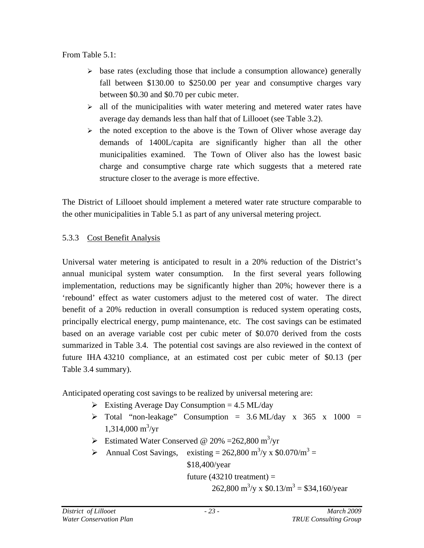From Table 5.1:

- $\triangleright$  base rates (excluding those that include a consumption allowance) generally fall between \$130.00 to \$250.00 per year and consumptive charges vary between \$0.30 and \$0.70 per cubic meter.
- $\ge$  all of the municipalities with water metering and metered water rates have average day demands less than half that of Lillooet (see Table 3.2).
- $\triangleright$  the noted exception to the above is the Town of Oliver whose average day demands of 1400L/capita are significantly higher than all the other municipalities examined. The Town of Oliver also has the lowest basic charge and consumptive charge rate which suggests that a metered rate structure closer to the average is more effective.

The District of Lillooet should implement a metered water rate structure comparable to the other municipalities in Table 5.1 as part of any universal metering project.

# 5.3.3 Cost Benefit Analysis

Universal water metering is anticipated to result in a 20% reduction of the District's annual municipal system water consumption. In the first several years following implementation, reductions may be significantly higher than 20%; however there is a 'rebound' effect as water customers adjust to the metered cost of water. The direct benefit of a 20% reduction in overall consumption is reduced system operating costs, principally electrical energy, pump maintenance, etc. The cost savings can be estimated based on an average variable cost per cubic meter of \$0.070 derived from the costs summarized in Table 3.4. The potential cost savings are also reviewed in the context of future IHA 43210 compliance, at an estimated cost per cubic meter of \$0.13 (per Table 3.4 summary).

Anticipated operating cost savings to be realized by universal metering are:

- $\triangleright$  Existing Average Day Consumption = 4.5 ML/day
- $\triangleright$  Total "non-leakage" Consumption = 3.6 ML/day x 365 x 1000 =  $1,314,000 \text{ m}^3/\text{yr}$
- $\triangleright$  Estimated Water Conserved @ 20% = 262,800 m<sup>3</sup>/yr
- Annual Cost Savings, existing =  $262,800 \text{ m}^3/\text{y} \times \$0.070/\text{m}^3$  = \$18,400/year future  $(43210$  treatment) =

262,800 m<sup>3</sup>/y x  $$0.13/m^3 = $34,160/year$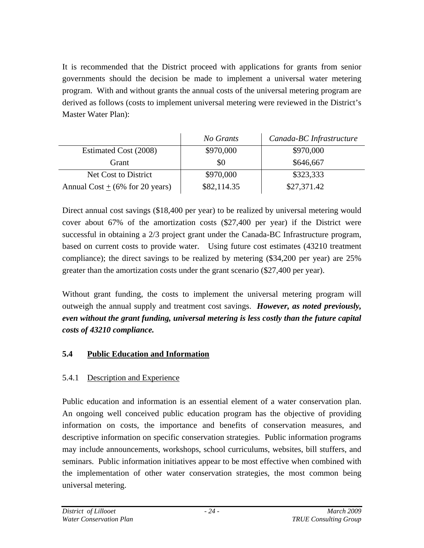It is recommended that the District proceed with applications for grants from senior governments should the decision be made to implement a universal water metering program. With and without grants the annual costs of the universal metering program are derived as follows (costs to implement universal metering were reviewed in the District's Master Water Plan):

|                                    | No Grants   | Canada-BC Infrastructure |
|------------------------------------|-------------|--------------------------|
| Estimated Cost (2008)              | \$970,000   | \$970,000                |
| Grant                              | \$0         | \$646,667                |
| Net Cost to District               | \$970,000   | \$323,333                |
| Annual Cost + $(6\%$ for 20 years) | \$82,114.35 | \$27,371.42              |

Direct annual cost savings (\$18,400 per year) to be realized by universal metering would cover about 67% of the amortization costs (\$27,400 per year) if the District were successful in obtaining a 2/3 project grant under the Canada-BC Infrastructure program, based on current costs to provide water. Using future cost estimates (43210 treatment compliance); the direct savings to be realized by metering (\$34,200 per year) are 25% greater than the amortization costs under the grant scenario (\$27,400 per year).

Without grant funding, the costs to implement the universal metering program will outweigh the annual supply and treatment cost savings. *However, as noted previously, even without the grant funding, universal metering is less costly than the future capital costs of 43210 compliance.*

## **5.4 Public Education and Information**

## 5.4.1 Description and Experience

Public education and information is an essential element of a water conservation plan. An ongoing well conceived public education program has the objective of providing information on costs, the importance and benefits of conservation measures, and descriptive information on specific conservation strategies. Public information programs may include announcements, workshops, school curriculums, websites, bill stuffers, and seminars. Public information initiatives appear to be most effective when combined with the implementation of other water conservation strategies, the most common being universal metering.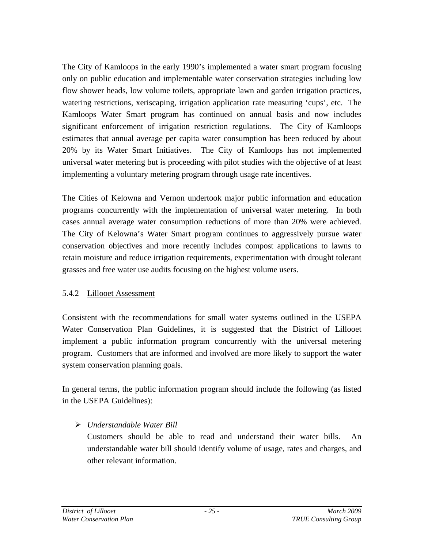The City of Kamloops in the early 1990's implemented a water smart program focusing only on public education and implementable water conservation strategies including low flow shower heads, low volume toilets, appropriate lawn and garden irrigation practices, watering restrictions, xeriscaping, irrigation application rate measuring 'cups', etc. The Kamloops Water Smart program has continued on annual basis and now includes significant enforcement of irrigation restriction regulations. The City of Kamloops estimates that annual average per capita water consumption has been reduced by about 20% by its Water Smart Initiatives. The City of Kamloops has not implemented universal water metering but is proceeding with pilot studies with the objective of at least implementing a voluntary metering program through usage rate incentives.

The Cities of Kelowna and Vernon undertook major public information and education programs concurrently with the implementation of universal water metering. In both cases annual average water consumption reductions of more than 20% were achieved. The City of Kelowna's Water Smart program continues to aggressively pursue water conservation objectives and more recently includes compost applications to lawns to retain moisture and reduce irrigation requirements, experimentation with drought tolerant grasses and free water use audits focusing on the highest volume users.

#### 5.4.2 Lillooet Assessment

Consistent with the recommendations for small water systems outlined in the USEPA Water Conservation Plan Guidelines, it is suggested that the District of Lillooet implement a public information program concurrently with the universal metering program. Customers that are informed and involved are more likely to support the water system conservation planning goals.

In general terms, the public information program should include the following (as listed in the USEPA Guidelines):

## ¾ *Understandable Water Bill*

Customers should be able to read and understand their water bills. An understandable water bill should identify volume of usage, rates and charges, and other relevant information.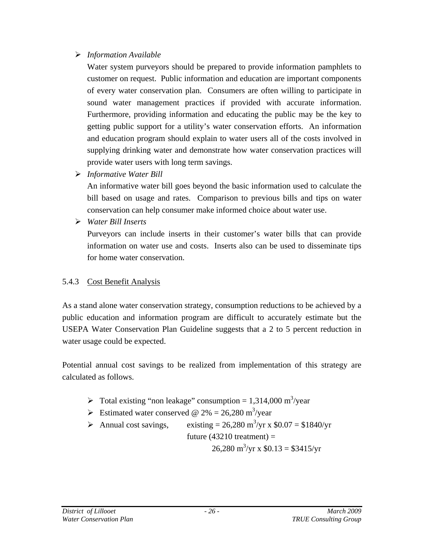#### ¾ *Information Available*

Water system purveyors should be prepared to provide information pamphlets to customer on request. Public information and education are important components of every water conservation plan. Consumers are often willing to participate in sound water management practices if provided with accurate information. Furthermore, providing information and educating the public may be the key to getting public support for a utility's water conservation efforts. An information and education program should explain to water users all of the costs involved in supplying drinking water and demonstrate how water conservation practices will provide water users with long term savings.

¾ *Informative Water Bill* 

An informative water bill goes beyond the basic information used to calculate the bill based on usage and rates. Comparison to previous bills and tips on water conservation can help consumer make informed choice about water use.

¾ *Water Bill Inserts*

Purveyors can include inserts in their customer's water bills that can provide information on water use and costs. Inserts also can be used to disseminate tips for home water conservation.

# 5.4.3 Cost Benefit Analysis

As a stand alone water conservation strategy, consumption reductions to be achieved by a public education and information program are difficult to accurately estimate but the USEPA Water Conservation Plan Guideline suggests that a 2 to 5 percent reduction in water usage could be expected.

Potential annual cost savings to be realized from implementation of this strategy are calculated as follows.

- $\triangleright$  Total existing "non leakage" consumption = 1,314,000 m<sup>3</sup>/year
- S Estimated water conserved @ 2% = 26,280 m<sup>3</sup>/year
- Annual cost savings, existing =  $26,280$  m<sup>3</sup>/yr x \$0.07 = \$1840/yr future  $(43210$  treatment) =  $26,280 \text{ m}^3/\text{yr} \times $0.13 = $3415/\text{yr}$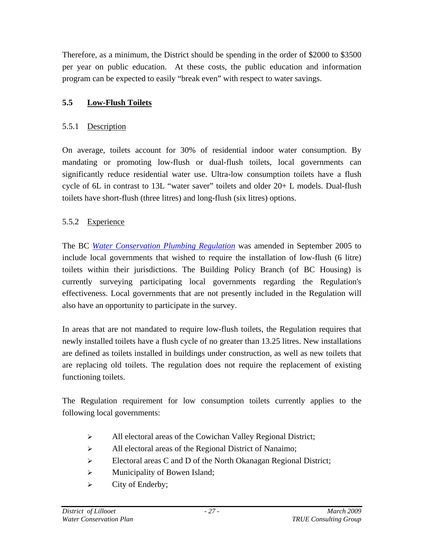Therefore, as a minimum, the District should be spending in the order of \$2000 to \$3500 per year on public education. At these costs, the public education and information program can be expected to easily "break even" with respect to water savings.

## **5.5 Low-Flush Toilets**

#### 5.5.1 Description

On average, toilets account for 30% of residential indoor water consumption. By mandating or promoting low-flush or dual-flush toilets, local governments can significantly reduce residential water use. Ultra-low consumption toilets have a flush cycle of 6L in contrast to 13L "water saver" toilets and older 20+ L models. Dual-flush toilets have short-flush (three litres) and long-flush (six litres) options.

## 5.5.2 Experience

The BC *Water Conservation Plumbing Regulation* was amended in September 2005 to include local governments that wished to require the installation of low-flush (6 litre) toilets within their jurisdictions. The Building Policy Branch (of BC Housing) is currently surveying participating local governments regarding the Regulation's effectiveness. Local governments that are not presently included in the Regulation will also have an opportunity to participate in the survey.

In areas that are not mandated to require low-flush toilets, the Regulation requires that newly installed toilets have a flush cycle of no greater than 13.25 litres. New installations are defined as toilets installed in buildings under construction, as well as new toilets that are replacing old toilets. The regulation does not require the replacement of existing functioning toilets.

The Regulation requirement for low consumption toilets currently applies to the following local governments:

- ¾ All electoral areas of the Cowichan Valley Regional District;
- ¾ All electoral areas of the Regional District of Nanaimo;
- ¾ Electoral areas C and D of the North Okanagan Regional District;
- $\triangleright$  Municipality of Bowen Island;
- $\triangleright$  City of Enderby;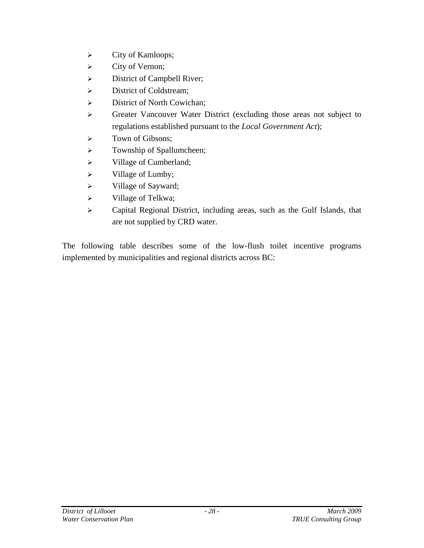- $\triangleright$  City of Kamloops;
- $\triangleright$  City of Vernon;
- ¾ District of Campbell River;
- $\triangleright$  District of Coldstream;
- ¾ District of North Cowichan;
- ¾ Greater Vancouver Water District (excluding those areas not subject to regulations established pursuant to the *Local Government Act*);
- ¾ Town of Gibsons;
- ¾ Township of Spallumcheen;
- ¾ Village of Cumberland;
- $\triangleright$  Village of Lumby;
- $\triangleright$  Village of Sayward;
- ¾ Village of Telkwa;
- ¾ Capital Regional District, including areas, such as the Gulf Islands, that are not supplied by CRD water.

The following table describes some of the low-flush toilet incentive programs implemented by municipalities and regional districts across BC: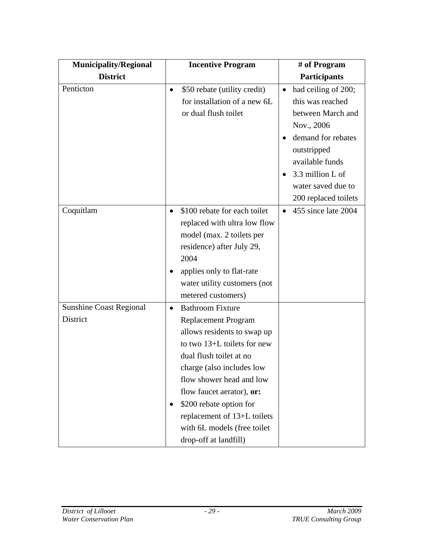| <b>Municipality/Regional</b>               | <b>Incentive Program</b>                                                                                                                                                                                                                                                                                                                                                  | # of Program                                                                                                                                                                                                      |
|--------------------------------------------|---------------------------------------------------------------------------------------------------------------------------------------------------------------------------------------------------------------------------------------------------------------------------------------------------------------------------------------------------------------------------|-------------------------------------------------------------------------------------------------------------------------------------------------------------------------------------------------------------------|
| <b>District</b>                            |                                                                                                                                                                                                                                                                                                                                                                           | <b>Participants</b>                                                                                                                                                                                               |
| Penticton                                  | \$50 rebate (utility credit)<br>$\bullet$<br>for installation of a new 6L<br>or dual flush toilet                                                                                                                                                                                                                                                                         | had ceiling of 200;<br>$\bullet$<br>this was reached<br>between March and<br>Nov., 2006<br>demand for rebates<br>outstripped<br>available funds<br>3.3 million L of<br>water saved due to<br>200 replaced toilets |
| Coquitlam                                  | \$100 rebate for each toilet<br>$\bullet$<br>replaced with ultra low flow<br>model (max. 2 toilets per<br>residence) after July 29,<br>2004<br>applies only to flat-rate<br>$\bullet$<br>water utility customers (not<br>metered customers)                                                                                                                               | 455 since late 2004                                                                                                                                                                                               |
| <b>Sunshine Coast Regional</b><br>District | <b>Bathroom Fixture</b><br>$\bullet$<br>Replacement Program<br>allows residents to swap up<br>to two 13+L toilets for new<br>dual flush toilet at no<br>charge (also includes low<br>flow shower head and low<br>flow faucet aerator), or:<br>\$200 rebate option for<br>$\bullet$<br>replacement of 13+L toilets<br>with 6L models (free toilet<br>drop-off at landfill) |                                                                                                                                                                                                                   |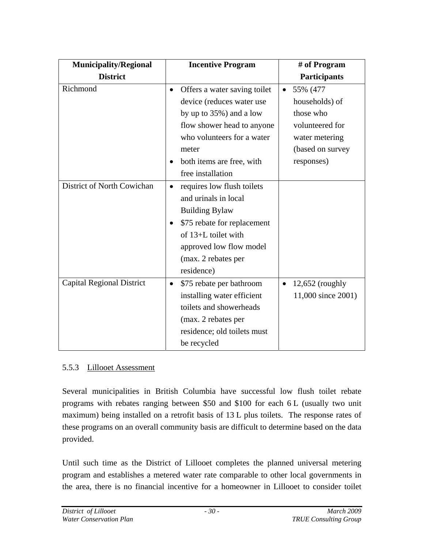| <b>Municipality/Regional</b>     |           | <b>Incentive Program</b>     |           | # of Program        |
|----------------------------------|-----------|------------------------------|-----------|---------------------|
| <b>District</b>                  |           |                              |           | <b>Participants</b> |
| Richmond                         | $\bullet$ | Offers a water saving toilet | $\bullet$ | 55% (477            |
|                                  |           | device (reduces water use    |           | households) of      |
|                                  |           | by up to $35\%$ ) and a low  |           | those who           |
|                                  |           | flow shower head to anyone   |           | volunteered for     |
|                                  |           | who volunteers for a water   |           | water metering      |
|                                  |           | meter                        |           | (based on survey    |
|                                  |           | both items are free, with    |           | responses)          |
|                                  |           | free installation            |           |                     |
| District of North Cowichan       | $\bullet$ | requires low flush toilets   |           |                     |
|                                  |           | and urinals in local         |           |                     |
|                                  |           | <b>Building Bylaw</b>        |           |                     |
|                                  |           | \$75 rebate for replacement  |           |                     |
|                                  |           | of $13+L$ toilet with        |           |                     |
|                                  |           | approved low flow model      |           |                     |
|                                  |           | (max. 2 rebates per          |           |                     |
|                                  |           | residence)                   |           |                     |
| <b>Capital Regional District</b> | $\bullet$ | \$75 rebate per bathroom     | $\bullet$ | $12,652$ (roughly   |
|                                  |           | installing water efficient   |           | 11,000 since 2001)  |
|                                  |           | toilets and showerheads      |           |                     |
|                                  |           | (max. 2 rebates per          |           |                     |
|                                  |           | residence; old toilets must  |           |                     |
|                                  |           | be recycled                  |           |                     |

## 5.5.3 Lillooet Assessment

Several municipalities in British Columbia have successful low flush toilet rebate programs with rebates ranging between \$50 and \$100 for each 6 L (usually two unit maximum) being installed on a retrofit basis of 13 L plus toilets. The response rates of these programs on an overall community basis are difficult to determine based on the data provided.

Until such time as the District of Lillooet completes the planned universal metering program and establishes a metered water rate comparable to other local governments in the area, there is no financial incentive for a homeowner in Lillooet to consider toilet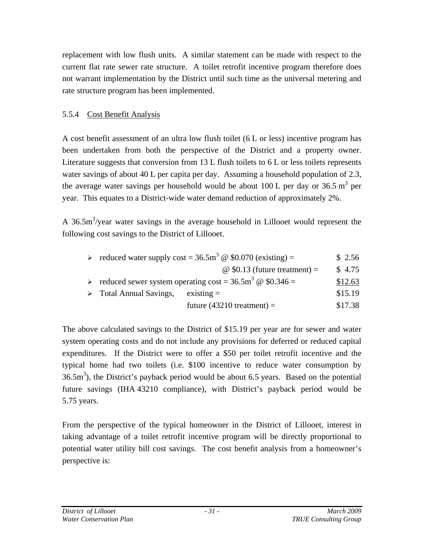replacement with low flush units. A similar statement can be made with respect to the current flat rate sewer rate structure. A toilet retrofit incentive program therefore does not warrant implementation by the District until such time as the universal metering and rate structure program has been implemented.

## 5.5.4 Cost Benefit Analysis

A cost benefit assessment of an ultra low flush toilet (6 L or less) incentive program has been undertaken from both the perspective of the District and a property owner. Literature suggests that conversion from 13 L flush toilets to 6 L or less toilets represents water savings of about 40 L per capita per day. Assuming a household population of 2.3, the average water savings per household would be about 100 L per day or 36.5  $m<sup>3</sup>$  per year. This equates to a District-wide water demand reduction of approximately 2%.

A 36.5 $\text{m}^3$ /year water savings in the average household in Lillooet would represent the following cost savings to the District of Lillooet.

|                                        | > reduced water supply cost = $36.5 \text{m}^3 \text{ } \textcircled{ }$ \$0.070 (existing) = | \$2.56  |
|----------------------------------------|-----------------------------------------------------------------------------------------------|---------|
|                                        | $\omega$ \$0.13 (future treatment) =                                                          | \$4.75  |
|                                        | $\triangleright$ reduced sewer system operating cost = 36.5m <sup>3</sup> @ \$0.346 =         | \$12.63 |
| $\triangleright$ Total Annual Savings, | $existsing =$                                                                                 | \$15.19 |
|                                        | future $(43210$ treatment) =                                                                  | \$17.38 |

The above calculated savings to the District of \$15.19 per year are for sewer and water system operating costs and do not include any provisions for deferred or reduced capital expenditures. If the District were to offer a \$50 per toilet retrofit incentive and the typical home had two toilets (i.e. \$100 incentive to reduce water consumption by  $36.5 <sup>m3</sup>$ ), the District's payback period would be about 6.5 years. Based on the potential future savings (IHA 43210 compliance), with District's payback period would be 5.75 years.

From the perspective of the typical homeowner in the District of Lillooet, interest in taking advantage of a toilet retrofit incentive program will be directly proportional to potential water utility bill cost savings. The cost benefit analysis from a homeowner's perspective is: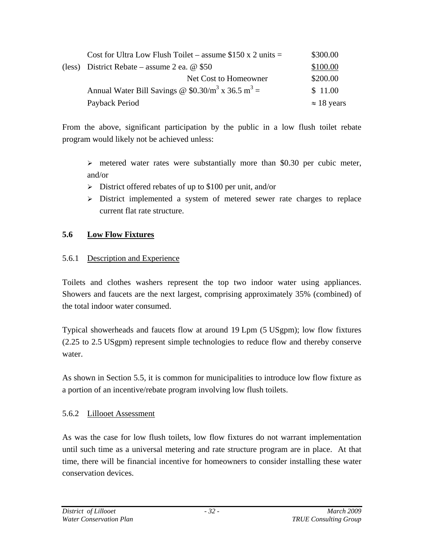| Cost for Ultra Low Flush Toilet – assume $$150 x 2 units =$     | \$300.00           |
|-----------------------------------------------------------------|--------------------|
| (less) District Rebate – assume 2 ea. $@$ \$50                  | \$100.00           |
| Net Cost to Homeowner                                           | \$200.00           |
| Annual Water Bill Savings @ $$0.30/m^3$ x 36.5 m <sup>3</sup> = | \$11.00            |
| Payback Period                                                  | $\approx$ 18 years |

From the above, significant participation by the public in a low flush toilet rebate program would likely not be achieved unless:

 $\triangleright$  metered water rates were substantially more than \$0.30 per cubic meter, and/or

- $\triangleright$  District offered rebates of up to \$100 per unit, and/or
- $\triangleright$  District implemented a system of metered sewer rate charges to replace current flat rate structure.

## **5.6 Low Flow Fixtures**

#### 5.6.1 Description and Experience

Toilets and clothes washers represent the top two indoor water using appliances. Showers and faucets are the next largest, comprising approximately 35% (combined) of the total indoor water consumed.

Typical showerheads and faucets flow at around 19 Lpm (5 USgpm); low flow fixtures (2.25 to 2.5 USgpm) represent simple technologies to reduce flow and thereby conserve water.

As shown in Section 5.5, it is common for municipalities to introduce low flow fixture as a portion of an incentive/rebate program involving low flush toilets.

## 5.6.2 Lillooet Assessment

As was the case for low flush toilets, low flow fixtures do not warrant implementation until such time as a universal metering and rate structure program are in place. At that time, there will be financial incentive for homeowners to consider installing these water conservation devices.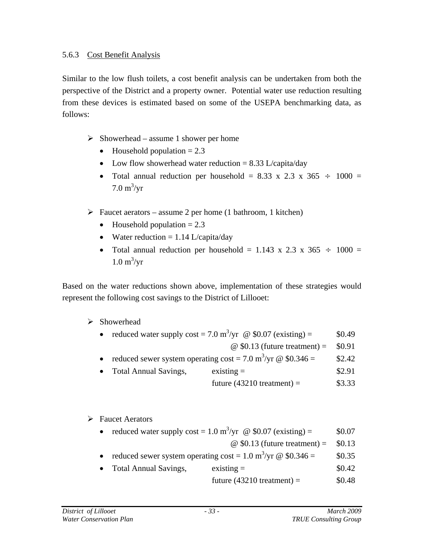Similar to the low flush toilets, a cost benefit analysis can be undertaken from both the perspective of the District and a property owner. Potential water use reduction resulting from these devices is estimated based on some of the USEPA benchmarking data, as follows:

- $\triangleright$  Showerhead assume 1 shower per home
	- Household population  $= 2.3$
	- Low flow showerhead water reduction  $= 8.33$  L/capita/day
	- Total annual reduction per household = 8.33 x 2.3 x 365  $\div$  1000 =  $7.0 \text{ m}^3/\text{yr}$
- $\triangleright$  Faucet aerators assume 2 per home (1 bathroom, 1 kitchen)
	- Household population  $= 2.3$
	- Water reduction  $= 1.14$  L/capita/day
	- Total annual reduction per household = 1.143 x 2.3 x 365  $\div$  1000 =  $1.0 \text{ m}^3/\text{yr}$

Based on the water reductions shown above, implementation of these strategies would represent the following cost savings to the District of Lillooet:

#### $\triangleright$  Showerhead

|  |  |  | reduced water supply cost = 7.0 m <sup>3</sup> /yr $\omega$ \$0.07 (existing) = | \$0.49 |
|--|--|--|---------------------------------------------------------------------------------|--------|
|--|--|--|---------------------------------------------------------------------------------|--------|

- $\textcircled{ }$  \$0.13 (future treatment) = \$0.91
- reduced sewer system operating  $\cos t = 7.0 \text{ m}^3/\text{yr}$  @ \$0.346 = \$2.42
- Total Annual Savings, existing = \$2.91
	- future  $(43210$  treatment) = \$3.33

#### $\triangleright$  Faucet Aerators

• reduced water supply  $\cos t = 1.0 \text{ m}^3/\text{yr}$  @ \$0.07 (existing) = \$0.07

```
\omega $0.13 (future treatment) = $0.13
```
- reduced sewer system operating cost =  $1.0 \text{ m}^3/\text{yr}$  @ \$0.346 = \$0.35
- Total Annual Savings, existing  $=$  \$0.42
	- future  $(43210$  treatment) =  $$0.48$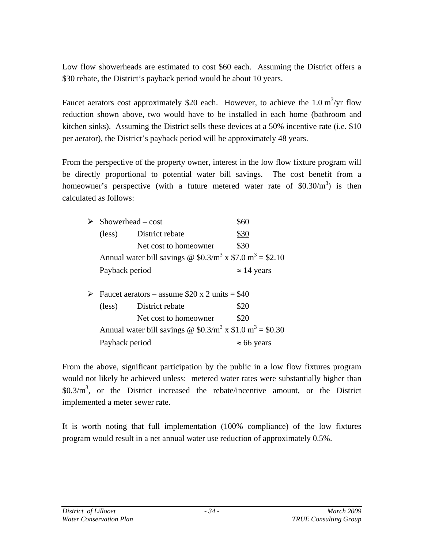Low flow showerheads are estimated to cost \$60 each. Assuming the District offers a \$30 rebate, the District's payback period would be about 10 years.

Faucet aerators cost approximately \$20 each. However, to achieve the 1.0  $m^3$ /yr flow reduction shown above, two would have to be installed in each home (bathroom and kitchen sinks). Assuming the District sells these devices at a 50% incentive rate (i.e. \$10 per aerator), the District's payback period will be approximately 48 years.

From the perspective of the property owner, interest in the low flow fixture program will be directly proportional to potential water bill savings. The cost benefit from a homeowner's perspective (with a future metered water rate of  $$0.30/m^3$$ ) is then calculated as follows:

|  | $Showerhead-cost$                                                                                    |                                                                | \$60               |
|--|------------------------------------------------------------------------------------------------------|----------------------------------------------------------------|--------------------|
|  | $(\text{less})$                                                                                      | District rebate                                                | \$30               |
|  |                                                                                                      | Net cost to homeowner                                          | \$30               |
|  |                                                                                                      | Annual water bill savings @ $$0.3/m^3 \times $7.0 m^3 = $2.10$ |                    |
|  | Payback period                                                                                       |                                                                | $\approx$ 14 years |
|  | Faucet aerators – assume \$20 x 2 units = \$40<br>District rebate<br>(less)<br>Net cost to homeowner |                                                                |                    |
|  |                                                                                                      |                                                                | \$20               |
|  |                                                                                                      |                                                                | \$20               |
|  |                                                                                                      | Annual water bill savings @ $$0.3/m^3 \times $1.0 m^3 = $0.30$ |                    |
|  | Payback period                                                                                       | $\approx 66$ years                                             |                    |

From the above, significant participation by the public in a low flow fixtures program would not likely be achieved unless: metered water rates were substantially higher than  $$0.3/m<sup>3</sup>$ , or the District increased the rebate/incentive amount, or the District implemented a meter sewer rate.

It is worth noting that full implementation (100% compliance) of the low fixtures program would result in a net annual water use reduction of approximately 0.5%.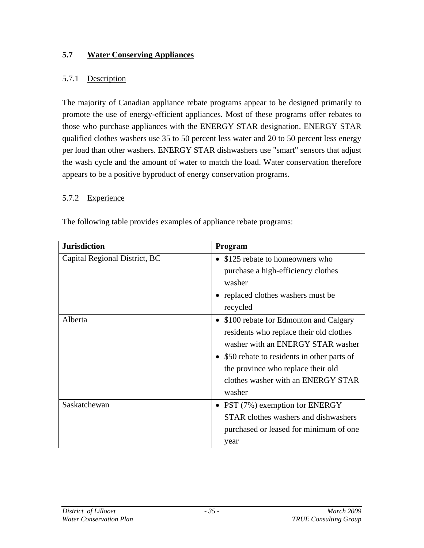## **5.7 Water Conserving Appliances**

## 5.7.1 Description

The majority of Canadian appliance rebate programs appear to be designed primarily to promote the use of energy-efficient appliances. Most of these programs offer rebates to those who purchase appliances with the ENERGY STAR designation. ENERGY STAR qualified clothes washers use 35 to 50 percent less water and 20 to 50 percent less energy per load than other washers. ENERGY STAR dishwashers use "smart" sensors that adjust the wash cycle and the amount of water to match the load. Water conservation therefore appears to be a positive byproduct of energy conservation programs.

#### 5.7.2 Experience

The following table provides examples of appliance rebate programs:

| <b>Jurisdiction</b>           | Program                                      |
|-------------------------------|----------------------------------------------|
| Capital Regional District, BC | • \$125 rebate to homeowners who             |
|                               | purchase a high-efficiency clothes           |
|                               | washer                                       |
|                               | • replaced clothes washers must be           |
|                               | recycled                                     |
| Alberta                       | • \$100 rebate for Edmonton and Calgary      |
|                               | residents who replace their old clothes      |
|                               | washer with an ENERGY STAR washer            |
|                               | • \$50 rebate to residents in other parts of |
|                               | the province who replace their old           |
|                               | clothes washer with an ENERGY STAR           |
|                               | washer                                       |
| Saskatchewan                  | • PST $(7%)$ exemption for ENERGY            |
|                               | STAR clothes washers and dishwashers         |
|                               | purchased or leased for minimum of one       |
|                               | year                                         |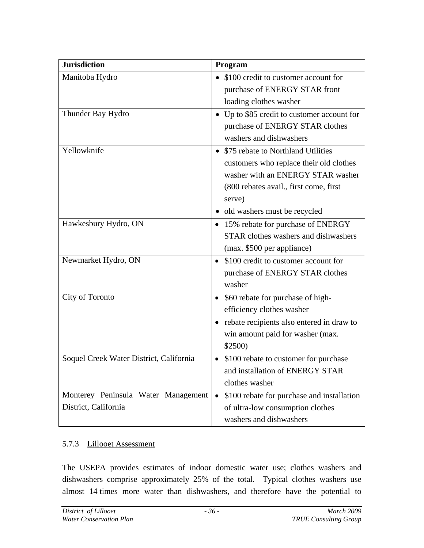| <b>Jurisdiction</b>                     | Program                                                 |
|-----------------------------------------|---------------------------------------------------------|
| Manitoba Hydro                          | • \$100 credit to customer account for                  |
|                                         | purchase of ENERGY STAR front                           |
|                                         | loading clothes washer                                  |
| Thunder Bay Hydro                       | • Up to \$85 credit to customer account for             |
|                                         | purchase of ENERGY STAR clothes                         |
|                                         | washers and dishwashers                                 |
| Yellowknife                             | • \$75 rebate to Northland Utilities                    |
|                                         | customers who replace their old clothes                 |
|                                         | washer with an ENERGY STAR washer                       |
|                                         | (800 rebates avail., first come, first                  |
|                                         | serve)                                                  |
|                                         | old washers must be recycled                            |
| Hawkesbury Hydro, ON                    | • 15% rebate for purchase of ENERGY                     |
|                                         | STAR clothes washers and dishwashers                    |
|                                         | (max. \$500 per appliance)                              |
| Newmarket Hydro, ON                     | \$100 credit to customer account for                    |
|                                         | purchase of ENERGY STAR clothes                         |
|                                         | washer                                                  |
| City of Toronto                         | \$60 rebate for purchase of high-<br>$\bullet$          |
|                                         | efficiency clothes washer                               |
|                                         | • rebate recipients also entered in draw to             |
|                                         | win amount paid for washer (max.                        |
|                                         | \$2500)                                                 |
| Soquel Creek Water District, California | \$100 rebate to customer for purchase<br>$\bullet$      |
|                                         | and installation of ENERGY STAR                         |
|                                         | clothes washer                                          |
| Monterey Peninsula Water Management     | \$100 rebate for purchase and installation<br>$\bullet$ |
| District, California                    | of ultra-low consumption clothes                        |
|                                         | washers and dishwashers                                 |

#### 5.7.3 Lillooet Assessment

The USEPA provides estimates of indoor domestic water use; clothes washers and dishwashers comprise approximately 25% of the total. Typical clothes washers use almost 14 times more water than dishwashers, and therefore have the potential to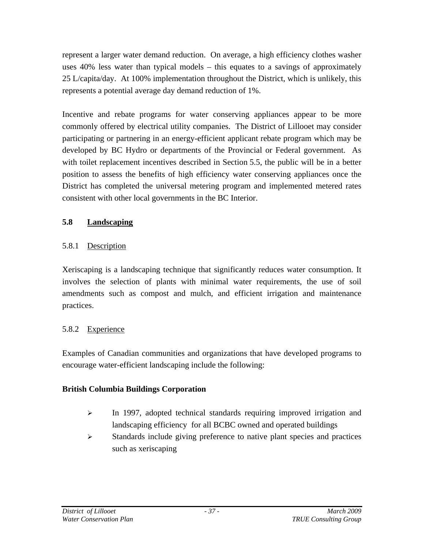represent a larger water demand reduction. On average, a high efficiency clothes washer uses 40% less water than typical models – this equates to a savings of approximately 25 L/capita/day. At 100% implementation throughout the District, which is unlikely, this represents a potential average day demand reduction of 1%.

Incentive and rebate programs for water conserving appliances appear to be more commonly offered by electrical utility companies. The District of Lillooet may consider participating or partnering in an energy-efficient applicant rebate program which may be developed by BC Hydro or departments of the Provincial or Federal government. As with toilet replacement incentives described in Section 5.5, the public will be in a better position to assess the benefits of high efficiency water conserving appliances once the District has completed the universal metering program and implemented metered rates consistent with other local governments in the BC Interior.

## **5.8 Landscaping**

# 5.8.1 Description

Xeriscaping is a landscaping technique that significantly reduces water consumption. It involves the selection of plants with minimal water requirements, the use of soil amendments such as compost and mulch, and efficient irrigation and maintenance practices.

# 5.8.2 Experience

Examples of Canadian communities and organizations that have developed programs to encourage water-efficient landscaping include the following:

## **British Columbia Buildings Corporation**

- $\blacktriangleright$  In 1997, adopted technical standards requiring improved irrigation and landscaping efficiency for all BCBC owned and operated buildings
- $\triangleright$  Standards include giving preference to native plant species and practices such as xeriscaping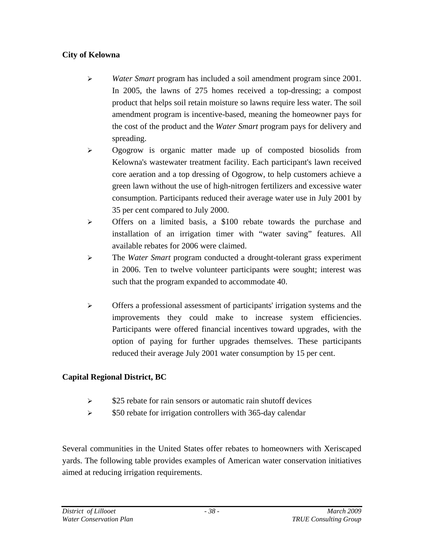# **City of Kelowna**

- ¾ *Water Smart* program has included a soil amendment program since 2001. In 2005, the lawns of 275 homes received a top-dressing; a compost product that helps soil retain moisture so lawns require less water. The soil amendment program is incentive-based, meaning the homeowner pays for the cost of the product and the *Water Smart* program pays for delivery and spreading.
- ¾ Ogogrow is organic matter made up of composted biosolids from Kelowna's wastewater treatment facility. Each participant's lawn received core aeration and a top dressing of Ogogrow, to help customers achieve a green lawn without the use of high-nitrogen fertilizers and excessive water consumption. Participants reduced their average water use in July 2001 by 35 per cent compared to July 2000.
- $\triangleright$  Offers on a limited basis, a \$100 rebate towards the purchase and installation of an irrigation timer with "water saving" features. All available rebates for 2006 were claimed.
- ¾ The *Water Smart* program conducted a drought-tolerant grass experiment in 2006. Ten to twelve volunteer participants were sought; interest was such that the program expanded to accommodate 40.
- ¾ Offers a professional assessment of participants' irrigation systems and the improvements they could make to increase system efficiencies. Participants were offered financial incentives toward upgrades, with the option of paying for further upgrades themselves. These participants reduced their average July 2001 water consumption by 15 per cent.

# **Capital Regional District, BC**

- $\geq$  \$25 rebate for rain sensors or automatic rain shutoff devices
- $\ge$  \$50 rebate for irrigation controllers with 365-day calendar

Several communities in the United States offer rebates to homeowners with Xeriscaped yards. The following table provides examples of American water conservation initiatives aimed at reducing irrigation requirements.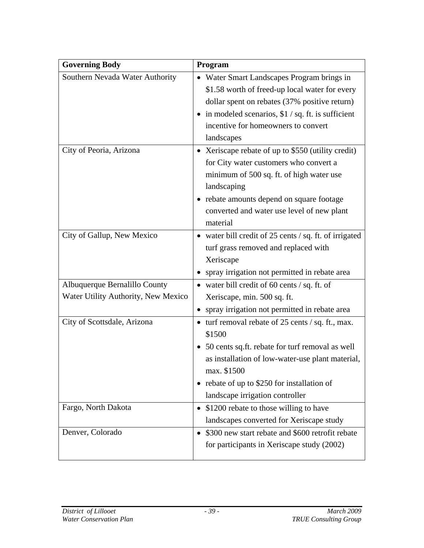| <b>Governing Body</b>               | Program                                                |
|-------------------------------------|--------------------------------------------------------|
| Southern Nevada Water Authority     | • Water Smart Landscapes Program brings in             |
|                                     | \$1.58 worth of freed-up local water for every         |
|                                     | dollar spent on rebates (37% positive return)          |
|                                     | • in modeled scenarios, $$1 / sq$ . ft. is sufficient  |
|                                     | incentive for homeowners to convert                    |
|                                     | landscapes                                             |
| City of Peoria, Arizona             | • Xeriscape rebate of up to \$550 (utility credit)     |
|                                     | for City water customers who convert a                 |
|                                     | minimum of 500 sq. ft. of high water use               |
|                                     | landscaping                                            |
|                                     | • rebate amounts depend on square footage              |
|                                     | converted and water use level of new plant             |
|                                     | material                                               |
| City of Gallup, New Mexico          | • water bill credit of 25 cents / sq. ft. of irrigated |
|                                     | turf grass removed and replaced with                   |
|                                     | Xeriscape                                              |
|                                     | spray irrigation not permitted in rebate area          |
| Albuquerque Bernalillo County       | • water bill credit of 60 cents $/$ sq. ft. of         |
| Water Utility Authority, New Mexico | Xeriscape, min. 500 sq. ft.                            |
|                                     | spray irrigation not permitted in rebate area<br>٠     |
| City of Scottsdale, Arizona         | • turf removal rebate of 25 cents / sq. ft., max.      |
|                                     | \$1500                                                 |
|                                     | • 50 cents sq.ft. rebate for turf removal as well      |
|                                     | as installation of low-water-use plant material,       |
|                                     | max. \$1500                                            |
|                                     | • rebate of up to \$250 for installation of            |
|                                     | landscape irrigation controller                        |
| Fargo, North Dakota                 | • \$1200 rebate to those willing to have               |
|                                     | landscapes converted for Xeriscape study               |
| Denver, Colorado                    | \$300 new start rebate and \$600 retrofit rebate       |
|                                     | for participants in Xeriscape study (2002)             |
|                                     |                                                        |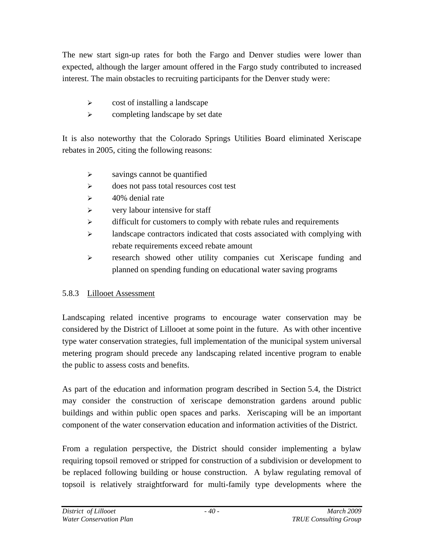The new start sign-up rates for both the Fargo and Denver studies were lower than expected, although the larger amount offered in the Fargo study contributed to increased interest. The main obstacles to recruiting participants for the Denver study were:

- $\triangleright$  cost of installing a landscape
- $\triangleright$  completing landscape by set date

It is also noteworthy that the Colorado Springs Utilities Board eliminated Xeriscape rebates in 2005, citing the following reasons:

- $\triangleright$  savings cannot be quantified
- ¾ does not pass total resources cost test
- $\geq$  40% denial rate
- $\triangleright$  very labour intensive for staff
- $\triangleright$  difficult for customers to comply with rebate rules and requirements
- ¾ landscape contractors indicated that costs associated with complying with rebate requirements exceed rebate amount
- ¾ research showed other utility companies cut Xeriscape funding and planned on spending funding on educational water saving programs

# 5.8.3 Lillooet Assessment

Landscaping related incentive programs to encourage water conservation may be considered by the District of Lillooet at some point in the future. As with other incentive type water conservation strategies, full implementation of the municipal system universal metering program should precede any landscaping related incentive program to enable the public to assess costs and benefits.

As part of the education and information program described in Section 5.4, the District may consider the construction of xeriscape demonstration gardens around public buildings and within public open spaces and parks. Xeriscaping will be an important component of the water conservation education and information activities of the District.

From a regulation perspective, the District should consider implementing a bylaw requiring topsoil removed or stripped for construction of a subdivision or development to be replaced following building or house construction. A bylaw regulating removal of topsoil is relatively straightforward for multi-family type developments where the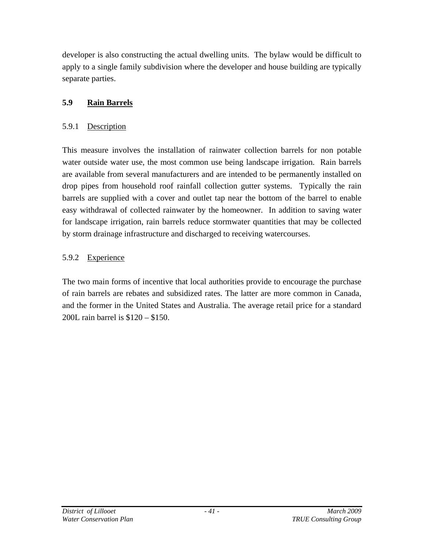developer is also constructing the actual dwelling units. The bylaw would be difficult to apply to a single family subdivision where the developer and house building are typically separate parties.

# **5.9 Rain Barrels**

#### 5.9.1 Description

This measure involves the installation of rainwater collection barrels for non potable water outside water use, the most common use being landscape irrigation. Rain barrels are available from several manufacturers and are intended to be permanently installed on drop pipes from household roof rainfall collection gutter systems. Typically the rain barrels are supplied with a cover and outlet tap near the bottom of the barrel to enable easy withdrawal of collected rainwater by the homeowner. In addition to saving water for landscape irrigation, rain barrels reduce stormwater quantities that may be collected by storm drainage infrastructure and discharged to receiving watercourses.

## 5.9.2 Experience

The two main forms of incentive that local authorities provide to encourage the purchase of rain barrels are rebates and subsidized rates. The latter are more common in Canada, and the former in the United States and Australia. The average retail price for a standard 200L rain barrel is \$120 – \$150.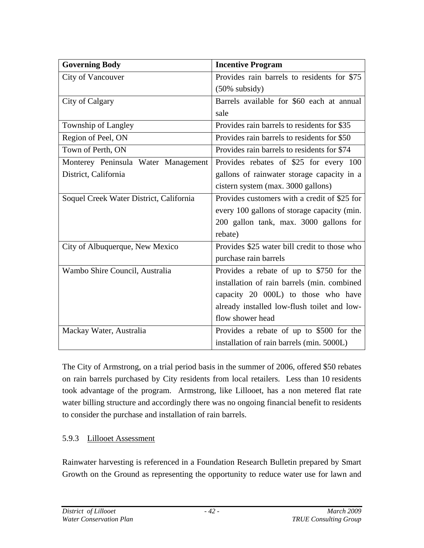| <b>Governing Body</b>                   | <b>Incentive Program</b>                     |
|-----------------------------------------|----------------------------------------------|
| City of Vancouver                       | Provides rain barrels to residents for \$75  |
|                                         | $(50\%$ subsidy)                             |
| City of Calgary                         | Barrels available for \$60 each at annual    |
|                                         | sale                                         |
| Township of Langley                     | Provides rain barrels to residents for \$35  |
| Region of Peel, ON                      | Provides rain barrels to residents for \$50  |
| Town of Perth, ON                       | Provides rain barrels to residents for \$74  |
| Monterey Peninsula Water Management     | Provides rebates of \$25 for every 100       |
| District, California                    | gallons of rainwater storage capacity in a   |
|                                         | cistern system (max. 3000 gallons)           |
| Soquel Creek Water District, California | Provides customers with a credit of \$25 for |
|                                         | every 100 gallons of storage capacity (min.  |
|                                         | 200 gallon tank, max. 3000 gallons for       |
|                                         | rebate)                                      |
| City of Albuquerque, New Mexico         | Provides \$25 water bill credit to those who |
|                                         | purchase rain barrels                        |
| Wambo Shire Council, Australia          | Provides a rebate of up to \$750 for the     |
|                                         | installation of rain barrels (min. combined  |
|                                         | capacity 20 000L) to those who have          |
|                                         | already installed low-flush toilet and low-  |
|                                         | flow shower head                             |
| Mackay Water, Australia                 | Provides a rebate of up to \$500 for the     |
|                                         | installation of rain barrels (min. 5000L)    |

The City of Armstrong, on a trial period basis in the summer of 2006, offered \$50 rebates on rain barrels purchased by City residents from local retailers. Less than 10 residents took advantage of the program. Armstrong, like Lillooet, has a non metered flat rate water billing structure and accordingly there was no ongoing financial benefit to residents to consider the purchase and installation of rain barrels.

## 5.9.3 Lillooet Assessment

Rainwater harvesting is referenced in a Foundation Research Bulletin prepared by Smart Growth on the Ground as representing the opportunity to reduce water use for lawn and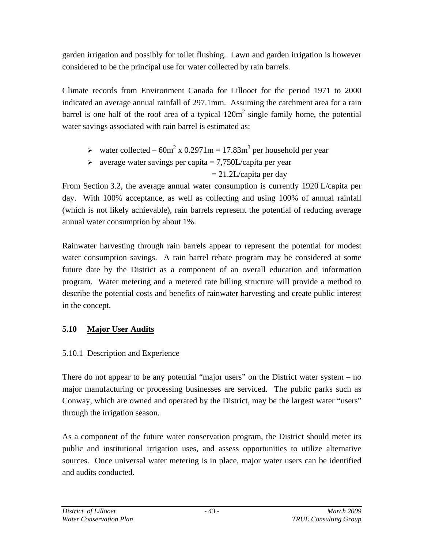garden irrigation and possibly for toilet flushing. Lawn and garden irrigation is however considered to be the principal use for water collected by rain barrels.

Climate records from Environment Canada for Lillooet for the period 1971 to 2000 indicated an average annual rainfall of 297.1mm. Assuming the catchment area for a rain barrel is one half of the roof area of a typical  $120m^2$  single family home, the potential water savings associated with rain barrel is estimated as:

- $\geq$  water collected 60m<sup>2</sup> x 0.2971m = 17.83m<sup>3</sup> per household per year
- $\geq$  average water savings per capita = 7,750L/capita per year

 $= 21.2$ L/capita per day

From Section 3.2, the average annual water consumption is currently 1920 L/capita per day. With 100% acceptance, as well as collecting and using 100% of annual rainfall (which is not likely achievable), rain barrels represent the potential of reducing average annual water consumption by about 1%.

Rainwater harvesting through rain barrels appear to represent the potential for modest water consumption savings. A rain barrel rebate program may be considered at some future date by the District as a component of an overall education and information program. Water metering and a metered rate billing structure will provide a method to describe the potential costs and benefits of rainwater harvesting and create public interest in the concept.

# **5.10 Major User Audits**

# 5.10.1 Description and Experience

There do not appear to be any potential "major users" on the District water system – no major manufacturing or processing businesses are serviced. The public parks such as Conway, which are owned and operated by the District, may be the largest water "users" through the irrigation season.

As a component of the future water conservation program, the District should meter its public and institutional irrigation uses, and assess opportunities to utilize alternative sources. Once universal water metering is in place, major water users can be identified and audits conducted.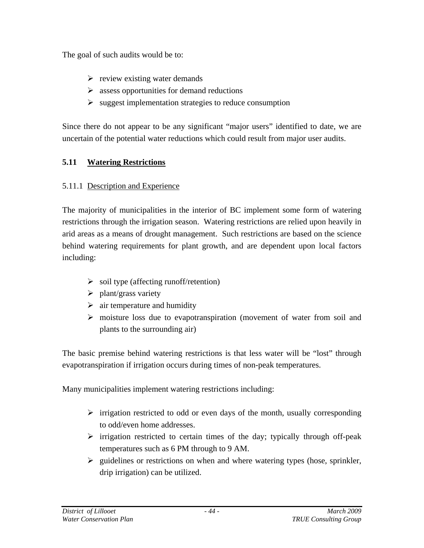The goal of such audits would be to:

- $\triangleright$  review existing water demands
- $\triangleright$  assess opportunities for demand reductions
- $\triangleright$  suggest implementation strategies to reduce consumption

Since there do not appear to be any significant "major users" identified to date, we are uncertain of the potential water reductions which could result from major user audits.

# **5.11 Watering Restrictions**

# 5.11.1 Description and Experience

The majority of municipalities in the interior of BC implement some form of watering restrictions through the irrigation season. Watering restrictions are relied upon heavily in arid areas as a means of drought management. Such restrictions are based on the science behind watering requirements for plant growth, and are dependent upon local factors including:

- $\triangleright$  soil type (affecting runoff/retention)
- $\triangleright$  plant/grass variety
- $\triangleright$  air temperature and humidity
- $\triangleright$  moisture loss due to evapotranspiration (movement of water from soil and plants to the surrounding air)

The basic premise behind watering restrictions is that less water will be "lost" through evapotranspiration if irrigation occurs during times of non-peak temperatures.

Many municipalities implement watering restrictions including:

- $\triangleright$  irrigation restricted to odd or even days of the month, usually corresponding to odd/even home addresses.
- $\triangleright$  irrigation restricted to certain times of the day; typically through off-peak temperatures such as 6 PM through to 9 AM.
- $\triangleright$  guidelines or restrictions on when and where watering types (hose, sprinkler, drip irrigation) can be utilized.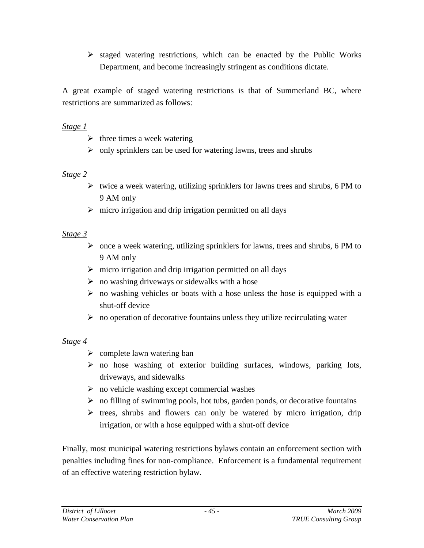$\triangleright$  staged watering restrictions, which can be enacted by the Public Works Department, and become increasingly stringent as conditions dictate.

A great example of staged watering restrictions is that of Summerland BC, where restrictions are summarized as follows:

#### *Stage 1*

- $\triangleright$  three times a week watering
- $\triangleright$  only sprinklers can be used for watering lawns, trees and shrubs

#### *Stage 2*

- $\triangleright$  twice a week watering, utilizing sprinklers for lawns trees and shrubs, 6 PM to 9 AM only
- $\triangleright$  micro irrigation and drip irrigation permitted on all days

## *Stage 3*

- $\triangleright$  once a week watering, utilizing sprinklers for lawns, trees and shrubs, 6 PM to 9 AM only
- $\triangleright$  micro irrigation and drip irrigation permitted on all days
- $\triangleright$  no washing driveways or sidewalks with a hose
- $\triangleright$  no washing vehicles or boats with a hose unless the hose is equipped with a shut-off device
- $\triangleright$  no operation of decorative fountains unless they utilize recirculating water

## *Stage 4*

- $\triangleright$  complete lawn watering ban
- $\triangleright$  no hose washing of exterior building surfaces, windows, parking lots, driveways, and sidewalks
- $\triangleright$  no vehicle washing except commercial washes
- $\triangleright$  no filling of swimming pools, hot tubs, garden ponds, or decorative fountains
- $\triangleright$  trees, shrubs and flowers can only be watered by micro irrigation, drip irrigation, or with a hose equipped with a shut-off device

Finally, most municipal watering restrictions bylaws contain an enforcement section with penalties including fines for non-compliance. Enforcement is a fundamental requirement of an effective watering restriction bylaw.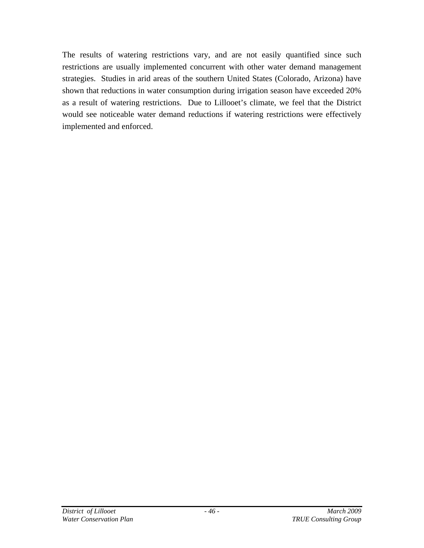The results of watering restrictions vary, and are not easily quantified since such restrictions are usually implemented concurrent with other water demand management strategies. Studies in arid areas of the southern United States (Colorado, Arizona) have shown that reductions in water consumption during irrigation season have exceeded 20% as a result of watering restrictions. Due to Lillooet's climate, we feel that the District would see noticeable water demand reductions if watering restrictions were effectively implemented and enforced.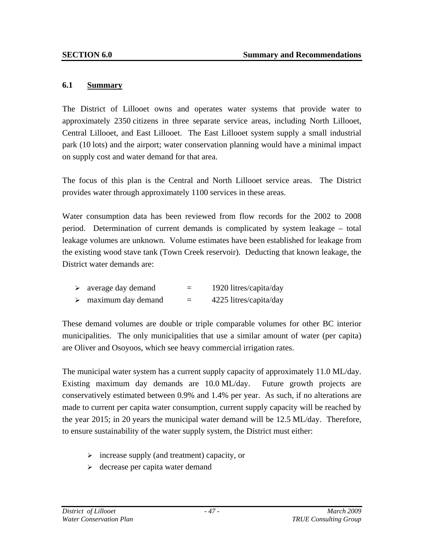#### **6.1 Summary**

The District of Lillooet owns and operates water systems that provide water to approximately 2350 citizens in three separate service areas, including North Lillooet, Central Lillooet, and East Lillooet. The East Lillooet system supply a small industrial park (10 lots) and the airport; water conservation planning would have a minimal impact on supply cost and water demand for that area.

The focus of this plan is the Central and North Lillooet service areas. The District provides water through approximately 1100 services in these areas.

Water consumption data has been reviewed from flow records for the 2002 to 2008 period. Determination of current demands is complicated by system leakage – total leakage volumes are unknown. Volume estimates have been established for leakage from the existing wood stave tank (Town Creek reservoir). Deducting that known leakage, the District water demands are:

| average day demand | = | 1920 litres/capita/day |
|--------------------|---|------------------------|
| maximum day demand | = | 4225 litres/capita/day |

These demand volumes are double or triple comparable volumes for other BC interior municipalities. The only municipalities that use a similar amount of water (per capita) are Oliver and Osoyoos, which see heavy commercial irrigation rates.

The municipal water system has a current supply capacity of approximately 11.0 ML/day. Existing maximum day demands are 10.0 ML/day. Future growth projects are conservatively estimated between 0.9% and 1.4% per year. As such, if no alterations are made to current per capita water consumption, current supply capacity will be reached by the year 2015; in 20 years the municipal water demand will be 12.5 ML/day. Therefore, to ensure sustainability of the water supply system, the District must either:

- $\triangleright$  increase supply (and treatment) capacity, or
- $\triangleright$  decrease per capita water demand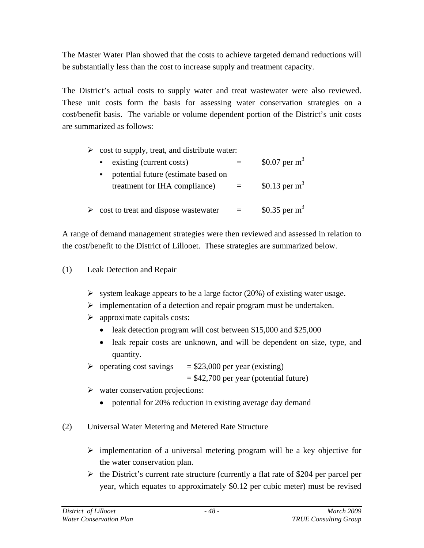The Master Water Plan showed that the costs to achieve targeted demand reductions will be substantially less than the cost to increase supply and treatment capacity.

The District's actual costs to supply water and treat wastewater were also reviewed. These unit costs form the basis for assessing water conservation strategies on a cost/benefit basis. The variable or volume dependent portion of the District's unit costs are summarized as follows:

| $\triangleright$ cost to supply, treat, and distribute water:                          |                  |
|----------------------------------------------------------------------------------------|------------------|
| existing (current costs)<br>$\mathbf{R}^{\text{max}}$                                  | \$0.07 per $m^3$ |
| potential future (estimate based on<br>$\blacksquare$<br>treatment for IHA compliance) | \$0.13 per $m3$  |
| $\triangleright$ cost to treat and dispose was tewater                                 | \$0.35 per $m3$  |

A range of demand management strategies were then reviewed and assessed in relation to the cost/benefit to the District of Lillooet. These strategies are summarized below.

#### (1) Leak Detection and Repair

- $\triangleright$  system leakage appears to be a large factor (20%) of existing water usage.
- $\triangleright$  implementation of a detection and repair program must be undertaken.
- $\triangleright$  approximate capitals costs:
	- leak detection program will cost between \$15,000 and \$25,000
	- leak repair costs are unknown, and will be dependent on size, type, and quantity.
- $\geq$  operating cost savings = \$23,000 per year (existing)
	- $= $42,700$  per year (potential future)
- $\triangleright$  water conservation projections:
	- potential for 20% reduction in existing average day demand
- (2) Universal Water Metering and Metered Rate Structure
	- $\triangleright$  implementation of a universal metering program will be a key objective for the water conservation plan.
	- $\triangleright$  the District's current rate structure (currently a flat rate of \$204 per parcel per year, which equates to approximately \$0.12 per cubic meter) must be revised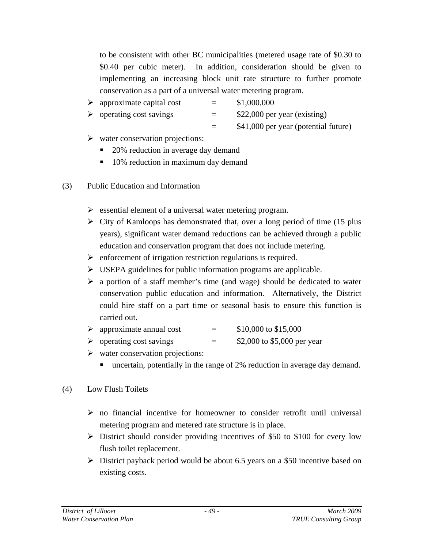to be consistent with other BC municipalities (metered usage rate of \$0.30 to \$0.40 per cubic meter). In addition, consideration should be given to implementing an increasing block unit rate structure to further promote conservation as a part of a universal water metering program.

- $\geq$  approximate capital cost = \$1,000,000
- $\geq$  operating cost savings  $=$  \$22,000 per year (existing)

= \$41,000 per year (potential future)

- $\triangleright$  water conservation projections:
	- 20% reduction in average day demand
	- 10% reduction in maximum day demand
- (3) Public Education and Information
	- $\triangleright$  essential element of a universal water metering program.
	- $\triangleright$  City of Kamloops has demonstrated that, over a long period of time (15 plus years), significant water demand reductions can be achieved through a public education and conservation program that does not include metering.
	- $\triangleright$  enforcement of irrigation restriction regulations is required.
	- $\triangleright$  USEPA guidelines for public information programs are applicable.
	- $\triangleright$  a portion of a staff member's time (and wage) should be dedicated to water conservation public education and information. Alternatively, the District could hire staff on a part time or seasonal basis to ensure this function is carried out.
	- $\geq$  approximate annual cost = \$10,000 to \$15,000
	- $\geq$  operating cost savings  $=$  \$2,000 to \$5,000 per year
	- $\triangleright$  water conservation projections:
		- uncertain, potentially in the range of 2% reduction in average day demand.

# (4) Low Flush Toilets

- $\triangleright$  no financial incentive for homeowner to consider retrofit until universal metering program and metered rate structure is in place.
- $\geq$  District should consider providing incentives of \$50 to \$100 for every low flush toilet replacement.
- $\triangleright$  District payback period would be about 6.5 years on a \$50 incentive based on existing costs.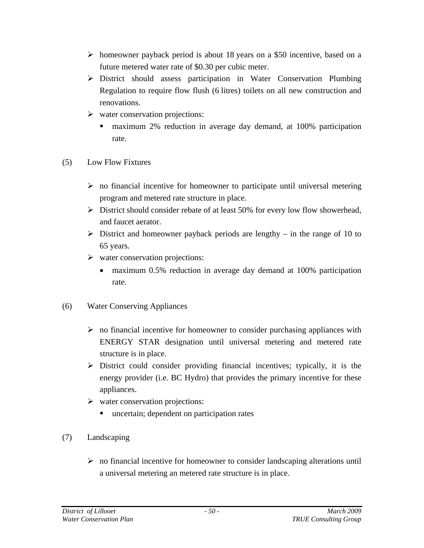- ¾ homeowner payback period is about 18 years on a \$50 incentive, based on a future metered water rate of \$0.30 per cubic meter.
- ¾ District should assess participation in Water Conservation Plumbing Regulation to require flow flush (6 litres) toilets on all new construction and renovations.
- $\triangleright$  water conservation projections:
	- maximum 2% reduction in average day demand, at 100% participation rate.
- (5) Low Flow Fixtures
	- $\triangleright$  no financial incentive for homeowner to participate until universal metering program and metered rate structure in place.
	- $\triangleright$  District should consider rebate of at least 50% for every low flow showerhead, and faucet aerator.
	- $\triangleright$  District and homeowner payback periods are lengthy in the range of 10 to 65 years.
	- $\triangleright$  water conservation projections:
		- maximum 0.5% reduction in average day demand at 100% participation rate.
- (6) Water Conserving Appliances
	- $\triangleright$  no financial incentive for homeowner to consider purchasing appliances with ENERGY STAR designation until universal metering and metered rate structure is in place.
	- $\triangleright$  District could consider providing financial incentives; typically, it is the energy provider (i.e. BC Hydro) that provides the primary incentive for these appliances.
	- $\triangleright$  water conservation projections:
		- uncertain; dependent on participation rates
- (7) Landscaping
	- $\triangleright$  no financial incentive for homeowner to consider landscaping alterations until a universal metering an metered rate structure is in place.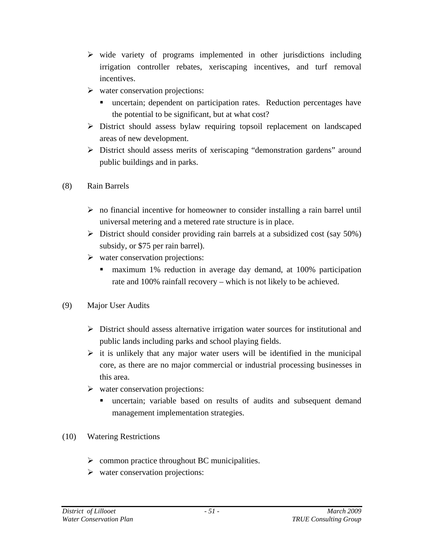- $\triangleright$  wide variety of programs implemented in other jurisdictions including irrigation controller rebates, xeriscaping incentives, and turf removal incentives.
- $\triangleright$  water conservation projections:
	- uncertain; dependent on participation rates. Reduction percentages have the potential to be significant, but at what cost?
- ¾ District should assess bylaw requiring topsoil replacement on landscaped areas of new development.
- $\triangleright$  District should assess merits of xeriscaping "demonstration gardens" around public buildings and in parks.
- (8) Rain Barrels
	- $\triangleright$  no financial incentive for homeowner to consider installing a rain barrel until universal metering and a metered rate structure is in place.
	- $\triangleright$  District should consider providing rain barrels at a subsidized cost (say 50%) subsidy, or \$75 per rain barrel).
	- $\triangleright$  water conservation projections:
		- maximum 1% reduction in average day demand, at 100% participation rate and 100% rainfall recovery – which is not likely to be achieved.
- (9) Major User Audits
	- $\triangleright$  District should assess alternative irrigation water sources for institutional and public lands including parks and school playing fields.
	- $\triangleright$  it is unlikely that any major water users will be identified in the municipal core, as there are no major commercial or industrial processing businesses in this area.
	- $\triangleright$  water conservation projections:
		- uncertain; variable based on results of audits and subsequent demand management implementation strategies.
- (10) Watering Restrictions
	- $\triangleright$  common practice throughout BC municipalities.
	- $\triangleright$  water conservation projections: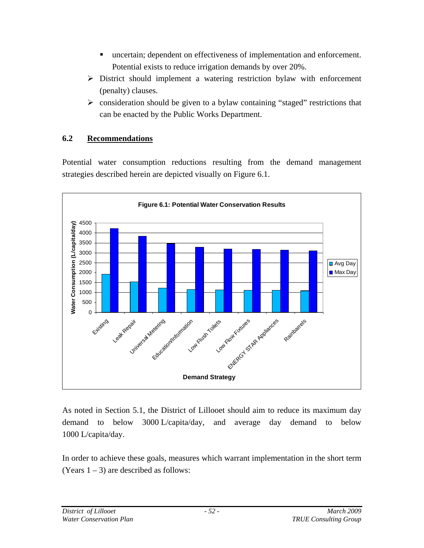- uncertain; dependent on effectiveness of implementation and enforcement. Potential exists to reduce irrigation demands by over 20%.
- $\triangleright$  District should implement a watering restriction bylaw with enforcement (penalty) clauses.
- $\triangleright$  consideration should be given to a bylaw containing "staged" restrictions that can be enacted by the Public Works Department.

## **6.2 Recommendations**

Potential water consumption reductions resulting from the demand management strategies described herein are depicted visually on Figure 6.1.



As noted in Section 5.1, the District of Lillooet should aim to reduce its maximum day demand to below 3000 L/capita/day, and average day demand to below 1000 L/capita/day.

In order to achieve these goals, measures which warrant implementation in the short term (Years  $1 - 3$ ) are described as follows: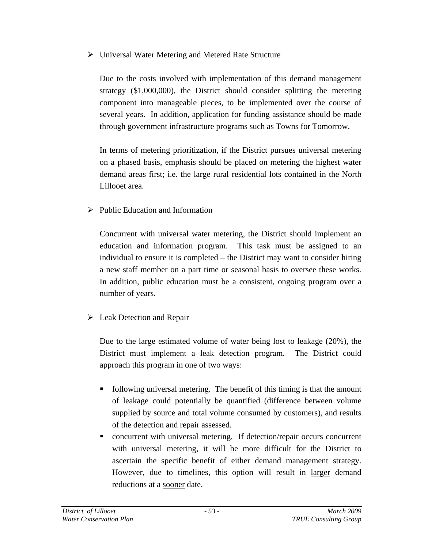$\triangleright$  Universal Water Metering and Metered Rate Structure

Due to the costs involved with implementation of this demand management strategy (\$1,000,000), the District should consider splitting the metering component into manageable pieces, to be implemented over the course of several years. In addition, application for funding assistance should be made through government infrastructure programs such as Towns for Tomorrow.

In terms of metering prioritization, if the District pursues universal metering on a phased basis, emphasis should be placed on metering the highest water demand areas first; i.e. the large rural residential lots contained in the North Lillooet area.

 $\triangleright$  Public Education and Information

Concurrent with universal water metering, the District should implement an education and information program. This task must be assigned to an individual to ensure it is completed – the District may want to consider hiring a new staff member on a part time or seasonal basis to oversee these works. In addition, public education must be a consistent, ongoing program over a number of years.

 $\triangleright$  Leak Detection and Repair

Due to the large estimated volume of water being lost to leakage (20%), the District must implement a leak detection program. The District could approach this program in one of two ways:

- following universal metering. The benefit of this timing is that the amount of leakage could potentially be quantified (difference between volume supplied by source and total volume consumed by customers), and results of the detection and repair assessed.
- concurrent with universal metering. If detection/repair occurs concurrent with universal metering, it will be more difficult for the District to ascertain the specific benefit of either demand management strategy. However, due to timelines, this option will result in larger demand reductions at a sooner date.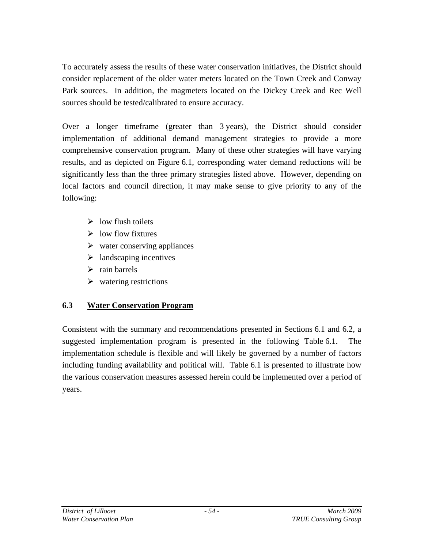To accurately assess the results of these water conservation initiatives, the District should consider replacement of the older water meters located on the Town Creek and Conway Park sources. In addition, the magmeters located on the Dickey Creek and Rec Well sources should be tested/calibrated to ensure accuracy.

Over a longer timeframe (greater than 3 years), the District should consider implementation of additional demand management strategies to provide a more comprehensive conservation program. Many of these other strategies will have varying results, and as depicted on Figure 6.1, corresponding water demand reductions will be significantly less than the three primary strategies listed above. However, depending on local factors and council direction, it may make sense to give priority to any of the following:

- $\triangleright$  low flush toilets
- $\triangleright$  low flow fixtures
- $\triangleright$  water conserving appliances
- $\triangleright$  landscaping incentives
- $\triangleright$  rain barrels
- $\triangleright$  watering restrictions

## **6.3 Water Conservation Program**

Consistent with the summary and recommendations presented in Sections 6.1 and 6.2, a suggested implementation program is presented in the following Table 6.1. The implementation schedule is flexible and will likely be governed by a number of factors including funding availability and political will. Table 6.1 is presented to illustrate how the various conservation measures assessed herein could be implemented over a period of years.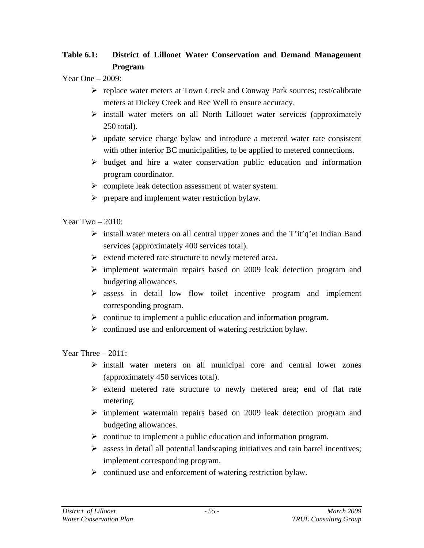# **Table 6.1: District of Lillooet Water Conservation and Demand Management Program**

Year One – 2009:

- ¾ replace water meters at Town Creek and Conway Park sources; test/calibrate meters at Dickey Creek and Rec Well to ensure accuracy.
- $\triangleright$  install water meters on all North Lillooet water services (approximately 250 total).
- $\triangleright$  update service charge bylaw and introduce a metered water rate consistent with other interior BC municipalities, to be applied to metered connections.
- $\triangleright$  budget and hire a water conservation public education and information program coordinator.
- $\triangleright$  complete leak detection assessment of water system.
- $\triangleright$  prepare and implement water restriction bylaw.

Year  $Two - 2010$ :

- $\triangleright$  install water meters on all central upper zones and the T'it'q'et Indian Band services (approximately 400 services total).
- $\triangleright$  extend metered rate structure to newly metered area.
- $\triangleright$  implement watermain repairs based on 2009 leak detection program and budgeting allowances.
- $\triangleright$  assess in detail low flow toilet incentive program and implement corresponding program.
- $\triangleright$  continue to implement a public education and information program.
- $\triangleright$  continued use and enforcement of watering restriction bylaw.

Year Three – 2011:

- $\triangleright$  install water meters on all municipal core and central lower zones (approximately 450 services total).
- $\triangleright$  extend metered rate structure to newly metered area; end of flat rate metering.
- $\triangleright$  implement watermain repairs based on 2009 leak detection program and budgeting allowances.
- $\triangleright$  continue to implement a public education and information program.
- $\triangleright$  assess in detail all potential landscaping initiatives and rain barrel incentives; implement corresponding program.
- $\triangleright$  continued use and enforcement of watering restriction bylaw.